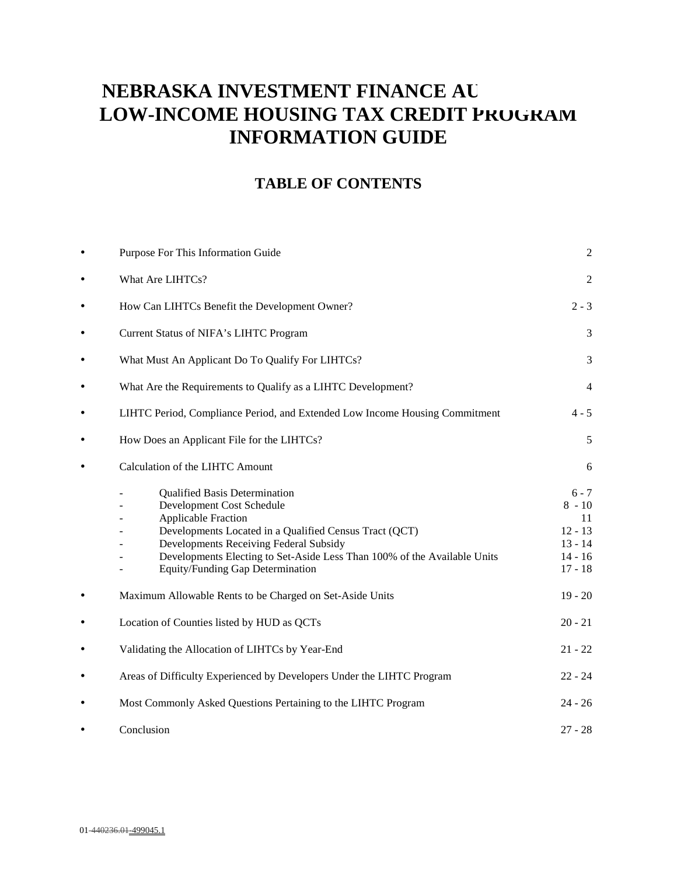# **NEBRASKA INVESTMENT FINANCE AU LOW-INCOME HOUSING TAX CREDIT PROGRAM INFORMATION GUIDE**

# **TABLE OF CONTENTS**

| $\bullet$ | Purpose For This Information Guide                                                                                                                                                                                                                                                                                  | $\overline{c}$                                                                |
|-----------|---------------------------------------------------------------------------------------------------------------------------------------------------------------------------------------------------------------------------------------------------------------------------------------------------------------------|-------------------------------------------------------------------------------|
| $\bullet$ | What Are LIHTCs?                                                                                                                                                                                                                                                                                                    | $\overline{2}$                                                                |
| $\bullet$ | How Can LIHTCs Benefit the Development Owner?                                                                                                                                                                                                                                                                       | $2 - 3$                                                                       |
| $\bullet$ | Current Status of NIFA's LIHTC Program                                                                                                                                                                                                                                                                              | 3                                                                             |
| $\bullet$ | What Must An Applicant Do To Qualify For LIHTCs?                                                                                                                                                                                                                                                                    | 3                                                                             |
| $\bullet$ | What Are the Requirements to Qualify as a LIHTC Development?                                                                                                                                                                                                                                                        | $\overline{4}$                                                                |
| $\bullet$ | LIHTC Period, Compliance Period, and Extended Low Income Housing Commitment                                                                                                                                                                                                                                         | $4 - 5$                                                                       |
| $\bullet$ | How Does an Applicant File for the LIHTCs?                                                                                                                                                                                                                                                                          | 5                                                                             |
| $\bullet$ | Calculation of the LIHTC Amount                                                                                                                                                                                                                                                                                     | 6                                                                             |
|           | <b>Qualified Basis Determination</b><br>Development Cost Schedule<br><b>Applicable Fraction</b><br>Developments Located in a Qualified Census Tract (QCT)<br>Developments Receiving Federal Subsidy<br>Developments Electing to Set-Aside Less Than 100% of the Available Units<br>Equity/Funding Gap Determination | $6 - 7$<br>$8 - 10$<br>11<br>$12 - 13$<br>$13 - 14$<br>$14 - 16$<br>$17 - 18$ |
| $\bullet$ | Maximum Allowable Rents to be Charged on Set-Aside Units                                                                                                                                                                                                                                                            | $19 - 20$                                                                     |
| $\bullet$ | Location of Counties listed by HUD as QCTs                                                                                                                                                                                                                                                                          | $20 - 21$                                                                     |
| $\bullet$ | Validating the Allocation of LIHTCs by Year-End                                                                                                                                                                                                                                                                     | $21 - 22$                                                                     |
| $\bullet$ | Areas of Difficulty Experienced by Developers Under the LIHTC Program                                                                                                                                                                                                                                               | $22 - 24$                                                                     |
| $\bullet$ | Most Commonly Asked Questions Pertaining to the LIHTC Program                                                                                                                                                                                                                                                       | $24 - 26$                                                                     |
|           | Conclusion                                                                                                                                                                                                                                                                                                          | $27 - 28$                                                                     |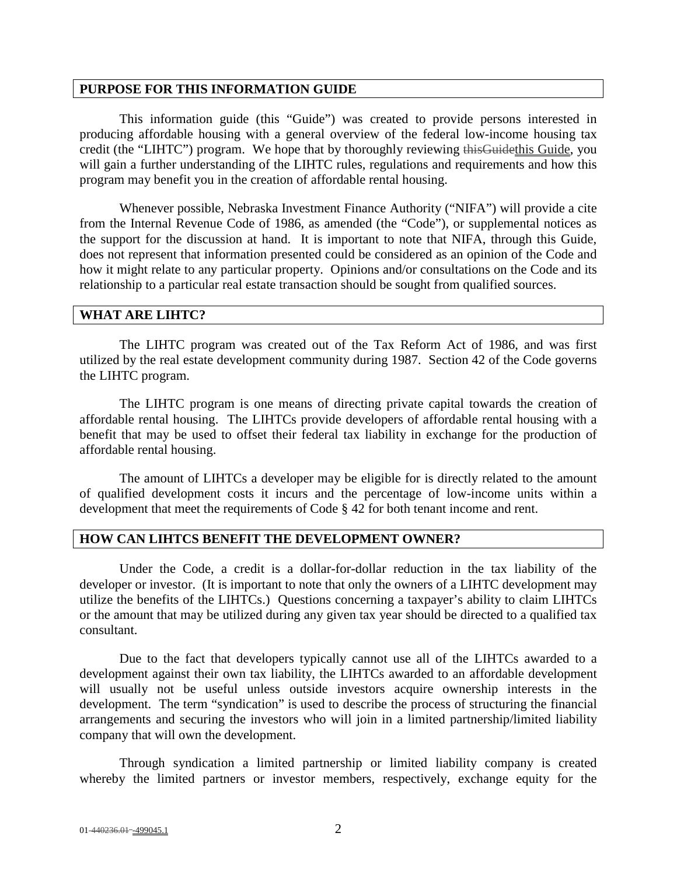#### **PURPOSE FOR THIS INFORMATION GUIDE**

This information guide (this "Guide") was created to provide persons interested in producing affordable housing with a general overview of the federal low-income housing tax credit (the "LIHTC") program. We hope that by thoroughly reviewing this Guidethis Guide, you will gain a further understanding of the LIHTC rules, regulations and requirements and how this program may benefit you in the creation of affordable rental housing.

Whenever possible, Nebraska Investment Finance Authority ("NIFA") will provide a cite from the Internal Revenue Code of 1986, as amended (the "Code"), or supplemental notices as the support for the discussion at hand. It is important to note that NIFA, through this Guide, does not represent that information presented could be considered as an opinion of the Code and how it might relate to any particular property. Opinions and/or consultations on the Code and its relationship to a particular real estate transaction should be sought from qualified sources.

#### **WHAT ARE LIHTC?**

The LIHTC program was created out of the Tax Reform Act of 1986, and was first utilized by the real estate development community during 1987. Section 42 of the Code governs the LIHTC program.

The LIHTC program is one means of directing private capital towards the creation of affordable rental housing. The LIHTCs provide developers of affordable rental housing with a benefit that may be used to offset their federal tax liability in exchange for the production of affordable rental housing.

The amount of LIHTCs a developer may be eligible for is directly related to the amount of qualified development costs it incurs and the percentage of low-income units within a development that meet the requirements of Code § 42 for both tenant income and rent.

#### **HOW CAN LIHTCS BENEFIT THE DEVELOPMENT OWNER?**

Under the Code, a credit is a dollar-for-dollar reduction in the tax liability of the developer or investor. (It is important to note that only the owners of a LIHTC development may utilize the benefits of the LIHTCs.) Questions concerning a taxpayer's ability to claim LIHTCs or the amount that may be utilized during any given tax year should be directed to a qualified tax consultant.

Due to the fact that developers typically cannot use all of the LIHTCs awarded to a development against their own tax liability, the LIHTCs awarded to an affordable development will usually not be useful unless outside investors acquire ownership interests in the development. The term "syndication" is used to describe the process of structuring the financial arrangements and securing the investors who will join in a limited partnership/limited liability company that will own the development.

Through syndication a limited partnership or limited liability company is created whereby the limited partners or investor members, respectively, exchange equity for the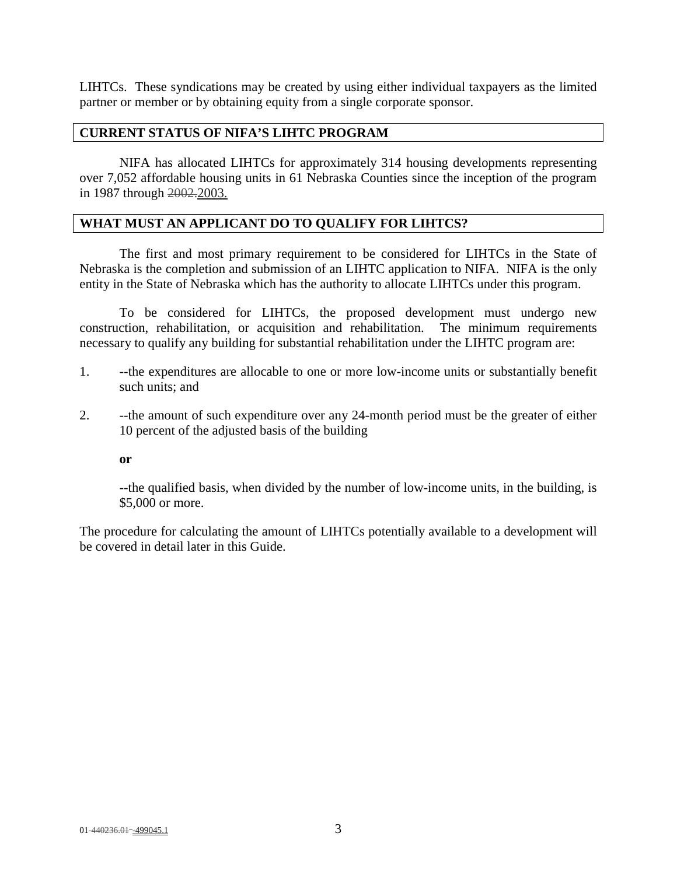LIHTCs. These syndications may be created by using either individual taxpayers as the limited partner or member or by obtaining equity from a single corporate sponsor.

#### **CURRENT STATUS OF NIFA'S LIHTC PROGRAM**

NIFA has allocated LIHTCs for approximately 314 housing developments representing over 7,052 affordable housing units in 61 Nebraska Counties since the inception of the program in 1987 through 2002.2003.

#### **WHAT MUST AN APPLICANT DO TO QUALIFY FOR LIHTCS?**

The first and most primary requirement to be considered for LIHTCs in the State of Nebraska is the completion and submission of an LIHTC application to NIFA. NIFA is the only entity in the State of Nebraska which has the authority to allocate LIHTCs under this program.

To be considered for LIHTCs, the proposed development must undergo new construction, rehabilitation, or acquisition and rehabilitation. The minimum requirements necessary to qualify any building for substantial rehabilitation under the LIHTC program are:

- 1. --the expenditures are allocable to one or more low-income units or substantially benefit such units; and
- 2. --the amount of such expenditure over any 24-month period must be the greater of either 10 percent of the adjusted basis of the building

**or** 

--the qualified basis, when divided by the number of low-income units, in the building, is \$5,000 or more.

The procedure for calculating the amount of LIHTCs potentially available to a development will be covered in detail later in this Guide.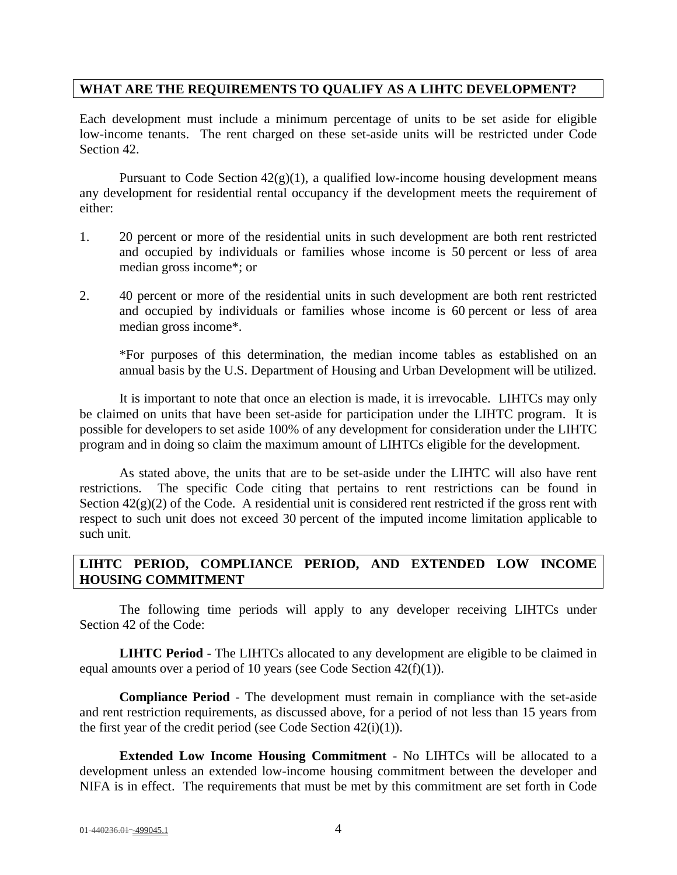### **WHAT ARE THE REQUIREMENTS TO QUALIFY AS A LIHTC DEVELOPMENT?**

Each development must include a minimum percentage of units to be set aside for eligible low-income tenants. The rent charged on these set-aside units will be restricted under Code Section 42.

Pursuant to Code Section  $42(g)(1)$ , a qualified low-income housing development means any development for residential rental occupancy if the development meets the requirement of either:

- 1. 20 percent or more of the residential units in such development are both rent restricted and occupied by individuals or families whose income is 50 percent or less of area median gross income\*; or
- 2. 40 percent or more of the residential units in such development are both rent restricted and occupied by individuals or families whose income is 60 percent or less of area median gross income\*.

\*For purposes of this determination, the median income tables as established on an annual basis by the U.S. Department of Housing and Urban Development will be utilized.

It is important to note that once an election is made, it is irrevocable. LIHTCs may only be claimed on units that have been set-aside for participation under the LIHTC program. It is possible for developers to set aside 100% of any development for consideration under the LIHTC program and in doing so claim the maximum amount of LIHTCs eligible for the development.

As stated above, the units that are to be set-aside under the LIHTC will also have rent restrictions. The specific Code citing that pertains to rent restrictions can be found in Section  $42(g)(2)$  of the Code. A residential unit is considered rent restricted if the gross rent with respect to such unit does not exceed 30 percent of the imputed income limitation applicable to such unit.

# **LIHTC PERIOD, COMPLIANCE PERIOD, AND EXTENDED LOW INCOME HOUSING COMMITMENT**

The following time periods will apply to any developer receiving LIHTCs under Section 42 of the Code:

**LIHTC Period** - The LIHTCs allocated to any development are eligible to be claimed in equal amounts over a period of 10 years (see Code Section 42(f)(1)).

**Compliance Period** - The development must remain in compliance with the set-aside and rent restriction requirements, as discussed above, for a period of not less than 15 years from the first year of the credit period (see Code Section  $42(i)(1)$ ).

**Extended Low Income Housing Commitment** - No LIHTCs will be allocated to a development unless an extended low-income housing commitment between the developer and NIFA is in effect. The requirements that must be met by this commitment are set forth in Code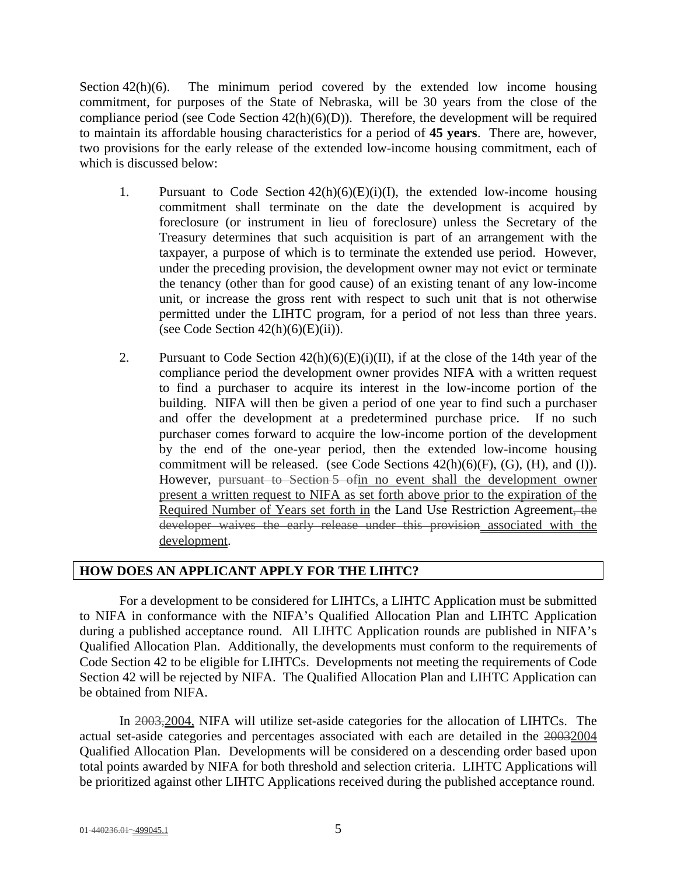Section  $42(h)(6)$ . The minimum period covered by the extended low income housing commitment, for purposes of the State of Nebraska, will be 30 years from the close of the compliance period (see Code Section 42(h)(6)(D)). Therefore, the development will be required to maintain its affordable housing characteristics for a period of **45 years**. There are, however, two provisions for the early release of the extended low-income housing commitment, each of which is discussed below:

- 1. Pursuant to Code Section  $42(h)(6)(E)(i)(I)$ , the extended low-income housing commitment shall terminate on the date the development is acquired by foreclosure (or instrument in lieu of foreclosure) unless the Secretary of the Treasury determines that such acquisition is part of an arrangement with the taxpayer, a purpose of which is to terminate the extended use period. However, under the preceding provision, the development owner may not evict or terminate the tenancy (other than for good cause) of an existing tenant of any low-income unit, or increase the gross rent with respect to such unit that is not otherwise permitted under the LIHTC program, for a period of not less than three years. (see Code Section  $42(h)(6)(E)(ii)$ ).
- 2. Pursuant to Code Section  $42(h)(6)(E)(i)(II)$ , if at the close of the 14th year of the compliance period the development owner provides NIFA with a written request to find a purchaser to acquire its interest in the low-income portion of the building. NIFA will then be given a period of one year to find such a purchaser and offer the development at a predetermined purchase price. If no such purchaser comes forward to acquire the low-income portion of the development by the end of the one-year period, then the extended low-income housing commitment will be released. (see Code Sections  $42(h)(6)(F)$ ,  $(G)$ ,  $(H)$ , and  $(I)$ ). However, pursuant to Section 5 ofin no event shall the development owner present a written request to NIFA as set forth above prior to the expiration of the Required Number of Years set forth in the Land Use Restriction Agreement, the developer waives the early release under this provision associated with the development.

# **HOW DOES AN APPLICANT APPLY FOR THE LIHTC?**

For a development to be considered for LIHTCs, a LIHTC Application must be submitted to NIFA in conformance with the NIFA's Qualified Allocation Plan and LIHTC Application during a published acceptance round. All LIHTC Application rounds are published in NIFA's Qualified Allocation Plan. Additionally, the developments must conform to the requirements of Code Section 42 to be eligible for LIHTCs. Developments not meeting the requirements of Code Section 42 will be rejected by NIFA. The Qualified Allocation Plan and LIHTC Application can be obtained from NIFA.

In 2003,2004, NIFA will utilize set-aside categories for the allocation of LIHTCs. The actual set-aside categories and percentages associated with each are detailed in the 20032004 Qualified Allocation Plan. Developments will be considered on a descending order based upon total points awarded by NIFA for both threshold and selection criteria. LIHTC Applications will be prioritized against other LIHTC Applications received during the published acceptance round.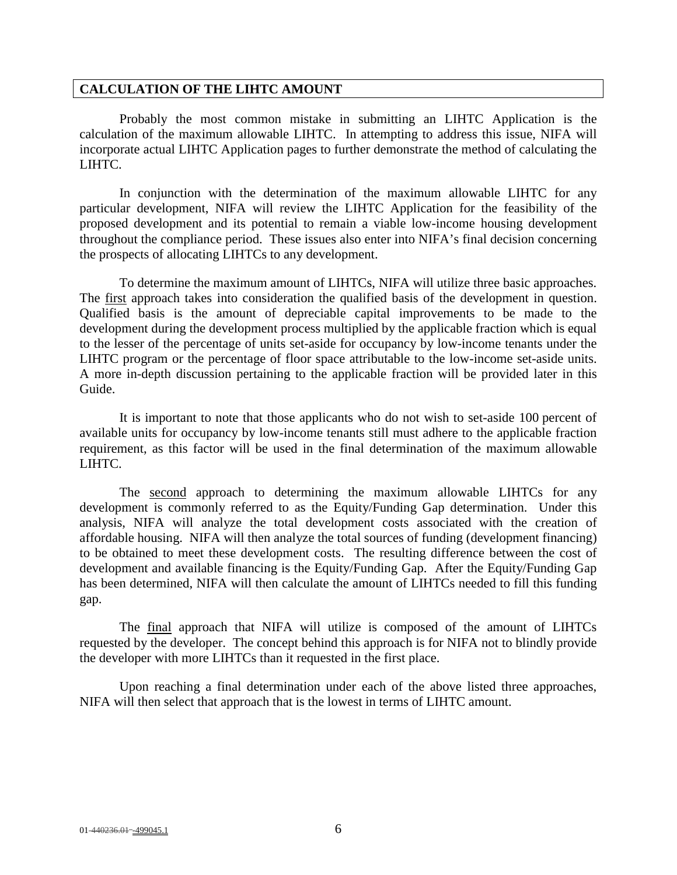#### **CALCULATION OF THE LIHTC AMOUNT**

Probably the most common mistake in submitting an LIHTC Application is the calculation of the maximum allowable LIHTC. In attempting to address this issue, NIFA will incorporate actual LIHTC Application pages to further demonstrate the method of calculating the LIHTC.

In conjunction with the determination of the maximum allowable LIHTC for any particular development, NIFA will review the LIHTC Application for the feasibility of the proposed development and its potential to remain a viable low-income housing development throughout the compliance period. These issues also enter into NIFA's final decision concerning the prospects of allocating LIHTCs to any development.

To determine the maximum amount of LIHTCs, NIFA will utilize three basic approaches. The first approach takes into consideration the qualified basis of the development in question. Qualified basis is the amount of depreciable capital improvements to be made to the development during the development process multiplied by the applicable fraction which is equal to the lesser of the percentage of units set-aside for occupancy by low-income tenants under the LIHTC program or the percentage of floor space attributable to the low-income set-aside units. A more in-depth discussion pertaining to the applicable fraction will be provided later in this Guide.

It is important to note that those applicants who do not wish to set-aside 100 percent of available units for occupancy by low-income tenants still must adhere to the applicable fraction requirement, as this factor will be used in the final determination of the maximum allowable LIHTC.

The second approach to determining the maximum allowable LIHTCs for any development is commonly referred to as the Equity/Funding Gap determination. Under this analysis, NIFA will analyze the total development costs associated with the creation of affordable housing. NIFA will then analyze the total sources of funding (development financing) to be obtained to meet these development costs. The resulting difference between the cost of development and available financing is the Equity/Funding Gap. After the Equity/Funding Gap has been determined, NIFA will then calculate the amount of LIHTCs needed to fill this funding gap.

The final approach that NIFA will utilize is composed of the amount of LIHTCs requested by the developer. The concept behind this approach is for NIFA not to blindly provide the developer with more LIHTCs than it requested in the first place.

Upon reaching a final determination under each of the above listed three approaches, NIFA will then select that approach that is the lowest in terms of LIHTC amount.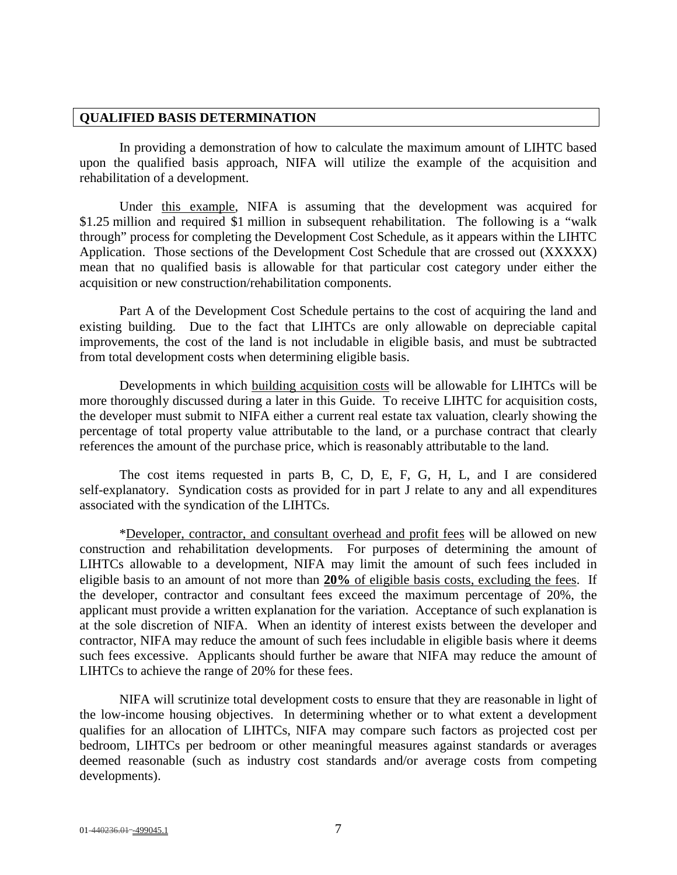#### **QUALIFIED BASIS DETERMINATION**

In providing a demonstration of how to calculate the maximum amount of LIHTC based upon the qualified basis approach, NIFA will utilize the example of the acquisition and rehabilitation of a development.

Under this example, NIFA is assuming that the development was acquired for \$1.25 million and required \$1 million in subsequent rehabilitation. The following is a "walk through" process for completing the Development Cost Schedule, as it appears within the LIHTC Application. Those sections of the Development Cost Schedule that are crossed out (XXXXX) mean that no qualified basis is allowable for that particular cost category under either the acquisition or new construction/rehabilitation components.

Part A of the Development Cost Schedule pertains to the cost of acquiring the land and existing building. Due to the fact that LIHTCs are only allowable on depreciable capital improvements, the cost of the land is not includable in eligible basis, and must be subtracted from total development costs when determining eligible basis.

Developments in which building acquisition costs will be allowable for LIHTCs will be more thoroughly discussed during a later in this Guide. To receive LIHTC for acquisition costs, the developer must submit to NIFA either a current real estate tax valuation, clearly showing the percentage of total property value attributable to the land, or a purchase contract that clearly references the amount of the purchase price, which is reasonably attributable to the land.

The cost items requested in parts B, C, D, E, F, G, H, L, and I are considered self-explanatory. Syndication costs as provided for in part J relate to any and all expenditures associated with the syndication of the LIHTCs.

\*Developer, contractor, and consultant overhead and profit fees will be allowed on new construction and rehabilitation developments. For purposes of determining the amount of LIHTCs allowable to a development, NIFA may limit the amount of such fees included in eligible basis to an amount of not more than **20%** of eligible basis costs, excluding the fees. If the developer, contractor and consultant fees exceed the maximum percentage of 20%, the applicant must provide a written explanation for the variation. Acceptance of such explanation is at the sole discretion of NIFA. When an identity of interest exists between the developer and contractor, NIFA may reduce the amount of such fees includable in eligible basis where it deems such fees excessive. Applicants should further be aware that NIFA may reduce the amount of LIHTCs to achieve the range of 20% for these fees.

NIFA will scrutinize total development costs to ensure that they are reasonable in light of the low-income housing objectives. In determining whether or to what extent a development qualifies for an allocation of LIHTCs, NIFA may compare such factors as projected cost per bedroom, LIHTCs per bedroom or other meaningful measures against standards or averages deemed reasonable (such as industry cost standards and/or average costs from competing developments).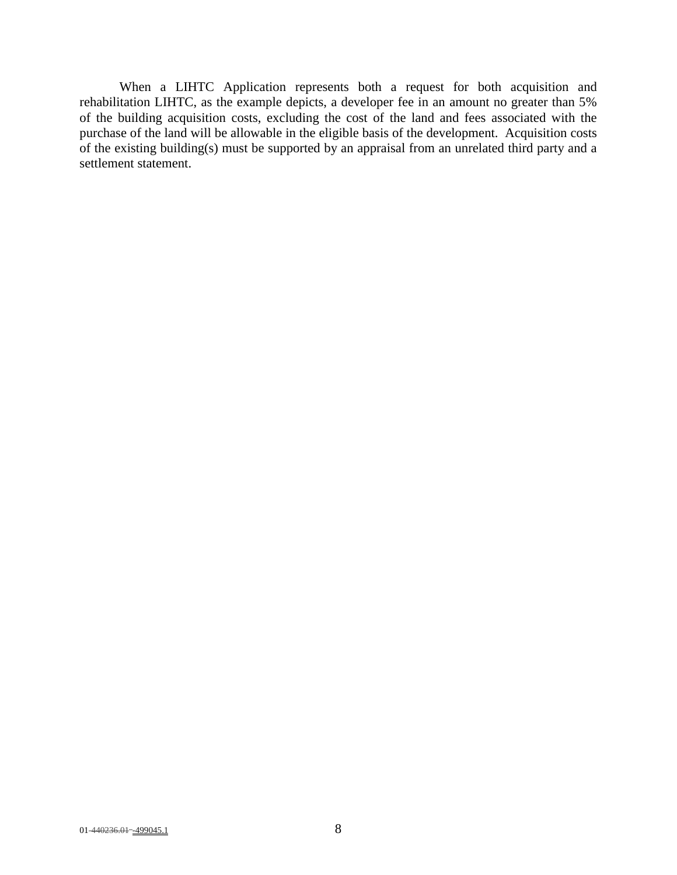When a LIHTC Application represents both a request for both acquisition and rehabilitation LIHTC, as the example depicts, a developer fee in an amount no greater than 5% of the building acquisition costs, excluding the cost of the land and fees associated with the purchase of the land will be allowable in the eligible basis of the development. Acquisition costs of the existing building(s) must be supported by an appraisal from an unrelated third party and a settlement statement.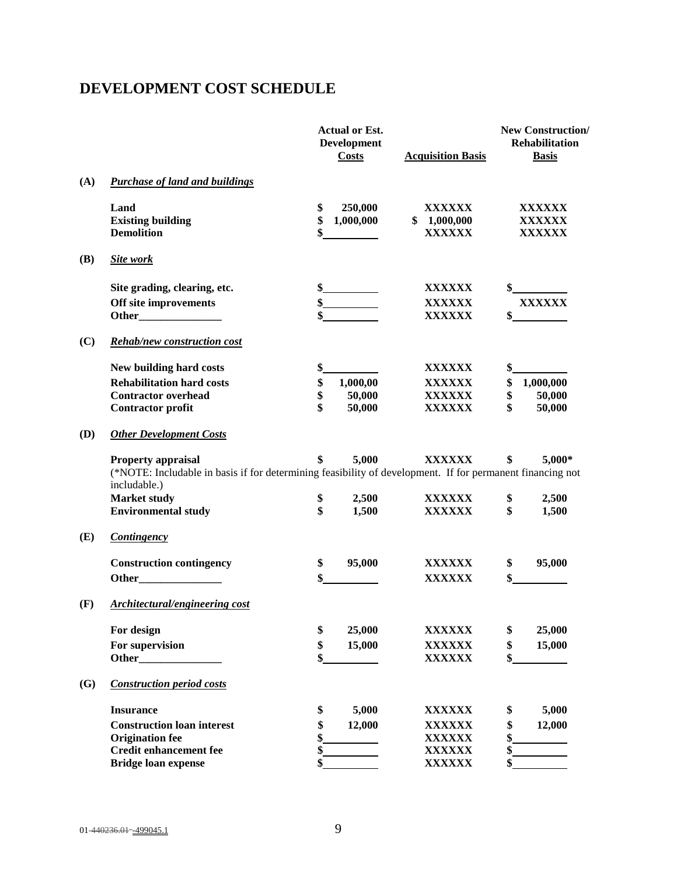# **DEVELOPMENT COST SCHEDULE**

|            |                                                                                                                                                                        | <b>Actual or Est.</b><br><b>Development</b><br><b>Costs</b> | <b>Acquisition Basis</b>                                  | <b>New Construction/</b><br><b>Rehabilitation</b><br><b>Basis</b>                                                                                                                                                                                                                                                                                                                                   |
|------------|------------------------------------------------------------------------------------------------------------------------------------------------------------------------|-------------------------------------------------------------|-----------------------------------------------------------|-----------------------------------------------------------------------------------------------------------------------------------------------------------------------------------------------------------------------------------------------------------------------------------------------------------------------------------------------------------------------------------------------------|
| (A)        | <b>Purchase of land and buildings</b>                                                                                                                                  |                                                             |                                                           |                                                                                                                                                                                                                                                                                                                                                                                                     |
|            | Land<br><b>Existing building</b><br><b>Demolition</b>                                                                                                                  | \$<br>250,000<br>\$<br>1,000,000                            | <b>XXXXXX</b><br>\$1,000,000<br><b>XXXXXX</b>             | XXXXXX<br>XXXXXX<br><b>XXXXXX</b>                                                                                                                                                                                                                                                                                                                                                                   |
| <b>(B)</b> | Site work                                                                                                                                                              |                                                             |                                                           |                                                                                                                                                                                                                                                                                                                                                                                                     |
|            | Site grading, clearing, etc.<br>Off site improvements                                                                                                                  | $\frac{\text{S}}{\text{S}}$                                 | XXXXXX<br><b>XXXXXX</b><br><b>XXXXXX</b>                  | $\frac{\S_{\frac{1}{2}}}{\S_{\frac{1}{2}}}{\S_{\frac{1}{2}}}{\S_{\frac{1}{2}}}{\S_{\frac{1}{2}}}{\S_{\frac{1}{2}}}{\S_{\frac{1}{2}}}{\S_{\frac{1}{2}}}{\S_{\frac{1}{2}}}{\S_{\frac{1}{2}}}{\S_{\frac{1}{2}}}{\S_{\frac{1}{2}}}{\S_{\frac{1}{2}}}{\S_{\frac{1}{2}}}{\S_{\frac{1}{2}}}{\S_{\frac{1}{2}}}{\S_{\frac{1}{2}}}{\S_{\frac{1}{2}}}{\S_{\frac{1}{2}}}{\S_{\frac{1}{2$<br><b>XXXXXX</b><br>\$ |
| (C)        | <b>Rehab/new construction cost</b>                                                                                                                                     |                                                             |                                                           |                                                                                                                                                                                                                                                                                                                                                                                                     |
|            | New building hard costs<br><b>Rehabilitation hard costs</b><br><b>Contractor overhead</b><br><b>Contractor profit</b>                                                  | \$<br>\$<br>1,000,00<br>\$<br>50,000<br>\$<br>50,000        | XXXXXX<br><b>XXXXXX</b><br><b>XXXXXX</b><br><b>XXXXXX</b> | \$<br>\$<br>1,000,000<br>\$<br>50,000<br>\$<br>50,000                                                                                                                                                                                                                                                                                                                                               |
| (D)        | <b>Other Development Costs</b>                                                                                                                                         |                                                             |                                                           |                                                                                                                                                                                                                                                                                                                                                                                                     |
|            | Property appraisal<br>(*NOTE: Includable in basis if for determining feasibility of development. If for permanent financing not<br>includable.)<br><b>Market study</b> | 5,000<br>S<br>\$<br>2,500                                   | <b>XXXXXX</b><br>XXXXXX                                   | 5,000*<br>\$<br>\$<br>2,500                                                                                                                                                                                                                                                                                                                                                                         |
|            | <b>Environmental study</b>                                                                                                                                             | \$<br>1,500                                                 | <b>XXXXXX</b>                                             | \$<br>1,500                                                                                                                                                                                                                                                                                                                                                                                         |
| (E)        | <b>Contingency</b>                                                                                                                                                     |                                                             |                                                           |                                                                                                                                                                                                                                                                                                                                                                                                     |
|            | <b>Construction contingency</b>                                                                                                                                        | 95,000<br>\$<br>\$                                          | XXXXXX<br><b>XXXXXX</b>                                   | 95,000<br>\$                                                                                                                                                                                                                                                                                                                                                                                        |
| (F)        | Architectural/engineering cost                                                                                                                                         |                                                             |                                                           |                                                                                                                                                                                                                                                                                                                                                                                                     |
|            | For design<br>For supervision<br>Other_                                                                                                                                | \$<br>25,000<br>\$<br>15,000<br>\$                          | <b>XXXXXX</b><br>XXXXXX<br>XXXXXX                         | \$<br>25,000<br>\$<br>15,000<br>\$                                                                                                                                                                                                                                                                                                                                                                  |
| (G)        | <b>Construction period costs</b>                                                                                                                                       |                                                             |                                                           |                                                                                                                                                                                                                                                                                                                                                                                                     |
|            | <b>Insurance</b><br><b>Construction loan interest</b><br><b>Origination fee</b><br><b>Credit enhancement fee</b><br><b>Bridge loan expense</b>                         | 5,000<br>\$<br>\$<br>12,000<br>\$<br>\$<br>\$               | XXXXXX<br><b>XXXXXX</b><br>XXXXXX<br>XXXXXX<br>XXXXXX     | \$<br>5,000<br>\$<br>12,000<br>\$<br>\$<br>\$                                                                                                                                                                                                                                                                                                                                                       |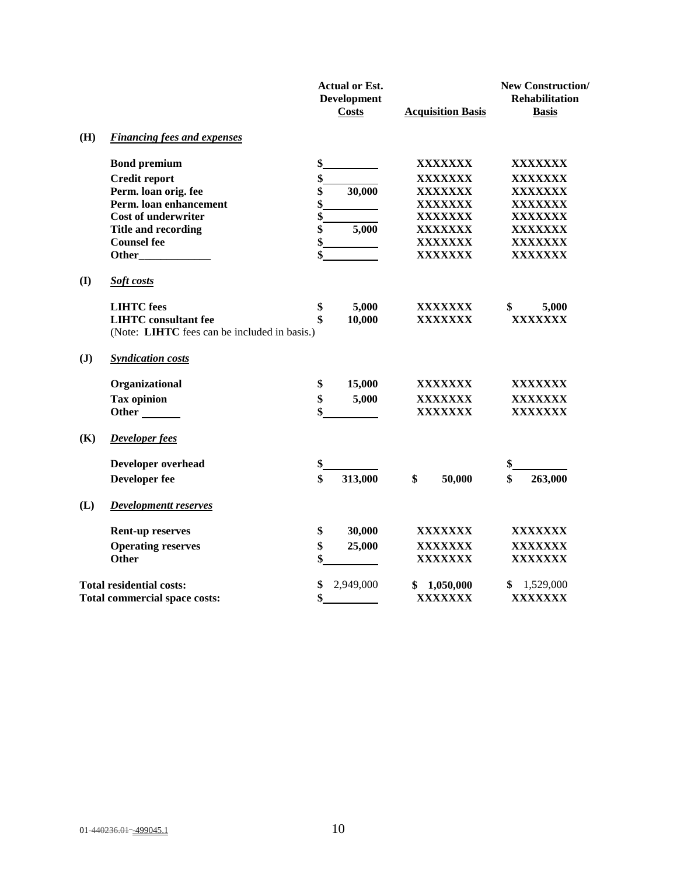|                |                                              | <b>Actual or Est.</b><br><b>Development</b><br>Costs | <b>Acquisition Basis</b> | <b>New Construction/</b><br><b>Rehabilitation</b><br><b>Basis</b> |
|----------------|----------------------------------------------|------------------------------------------------------|--------------------------|-------------------------------------------------------------------|
| (H)            | <b>Financing fees and expenses</b>           |                                                      |                          |                                                                   |
|                | <b>Bond premium</b>                          | \$                                                   | XXXXXXX                  | XXXXXXX                                                           |
|                | <b>Credit report</b>                         | \$                                                   | <b>XXXXXXX</b>           | XXXXXXX                                                           |
|                | Perm. loan orig. fee                         | \$<br>30,000                                         | XXXXXXX                  | <b>XXXXXXX</b>                                                    |
|                | Perm. loan enhancement                       | \$                                                   | <b>XXXXXXX</b>           | <b>XXXXXXX</b>                                                    |
|                | <b>Cost of underwriter</b>                   | \$                                                   | <b>XXXXXXX</b>           | <b>XXXXXXX</b>                                                    |
|                | Title and recording                          | \$<br>5,000                                          | XXXXXXX                  | XXXXXXX                                                           |
|                | <b>Counsel fee</b>                           | \$                                                   | XXXXXXX                  | XXXXXXX                                                           |
|                |                                              | \$                                                   | XXXXXXX                  | <b>XXXXXXX</b>                                                    |
| (I)            | Soft costs                                   |                                                      |                          |                                                                   |
|                | <b>LIHTC</b> fees                            | 5,000<br>\$                                          | XXXXXXX                  | 5,000<br>\$                                                       |
|                | <b>LIHTC</b> consultant fee                  | \$<br>10,000                                         | XXXXXXX                  | <b>XXXXXXX</b>                                                    |
|                | (Note: LIHTC fees can be included in basis.) |                                                      |                          |                                                                   |
| $(\mathbf{J})$ | <b>Syndication costs</b>                     |                                                      |                          |                                                                   |
|                | Organizational                               | \$<br>15,000                                         | XXXXXXX                  | XXXXXXX                                                           |
|                | <b>Tax opinion</b>                           | \$<br>5,000                                          | XXXXXXX                  | XXXXXXX                                                           |
|                | Other                                        | \$                                                   | XXXXXXX                  | XXXXXXX                                                           |
| (K)            | Developer fees                               |                                                      |                          |                                                                   |
|                | Developer overhead                           | \$                                                   |                          | \$                                                                |
|                | <b>Developer fee</b>                         | \$<br>313,000                                        | \$<br>50,000             | \$<br>263,000                                                     |
| (L)            | <b>Developmentt reserves</b>                 |                                                      |                          |                                                                   |
|                | <b>Rent-up reserves</b>                      | 30,000<br>\$                                         | XXXXXXX                  | XXXXXXX                                                           |
|                | <b>Operating reserves</b>                    | \$<br>25,000                                         | XXXXXXX                  | XXXXXXX                                                           |
|                | <b>Other</b>                                 | \$                                                   | <b>XXXXXXX</b>           | <b>XXXXXXX</b>                                                    |
|                | <b>Total residential costs:</b>              | \$<br>2,949,000                                      | 1,050,000                | 1,529,000<br>\$                                                   |
|                | <b>Total commercial space costs:</b>         | \$                                                   | XXXXXXX                  | XXXXXXX                                                           |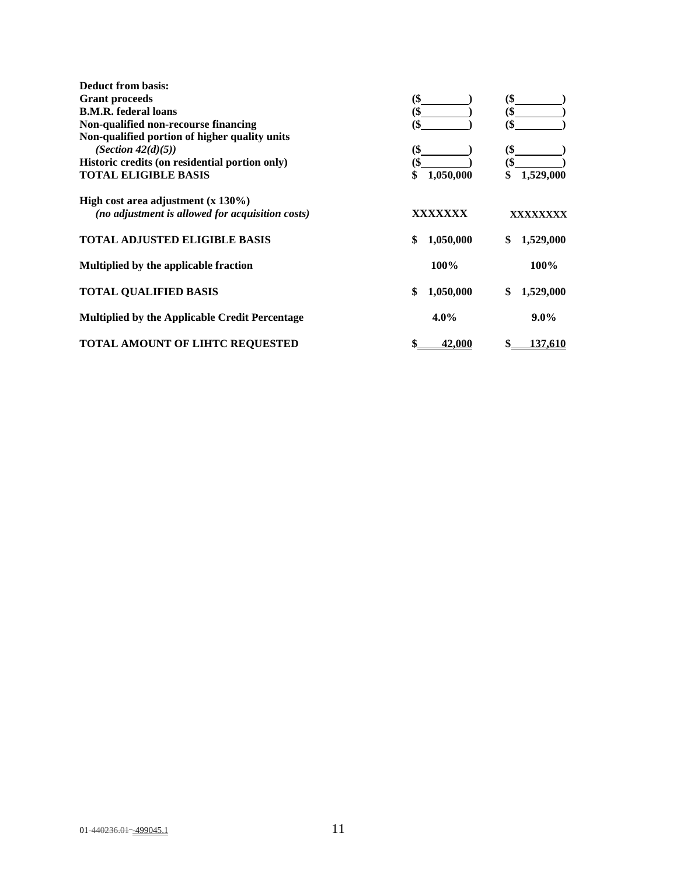| <b>Deduct from basis:</b>                             |                 |                 |
|-------------------------------------------------------|-----------------|-----------------|
| <b>Grant proceeds</b>                                 | (\$             | (\$             |
| <b>B.M.R.</b> federal loans                           | (\$             | (\$             |
| Non-qualified non-recourse financing                  | (\$             | (\$             |
| Non-qualified portion of higher quality units         |                 |                 |
| (Section $42(d)(5)$ )                                 | (\$             | (\$             |
| Historic credits (on residential portion only)        |                 |                 |
| <b>TOTAL ELIGIBLE BASIS</b>                           | 1,050,000<br>\$ | 1,529,000       |
| High cost area adjustment $(x 130\%)$                 |                 |                 |
| (no adjustment is allowed for acquisition costs)      | XXXXXXX         | xxxxxxxx        |
| <b>TOTAL ADJUSTED ELIGIBLE BASIS</b>                  | 1,050,000<br>\$ | \$<br>1,529,000 |
| Multiplied by the applicable fraction                 | 100%            | 100%            |
| <b>TOTAL QUALIFIED BASIS</b>                          | 1,050,000<br>\$ | \$<br>1,529,000 |
| <b>Multiplied by the Applicable Credit Percentage</b> | $4.0\%$         | $9.0\%$         |
| <b>TOTAL AMOUNT OF LIHTC REOUESTED</b>                | <u>42.000</u>   | <u>137.610</u>  |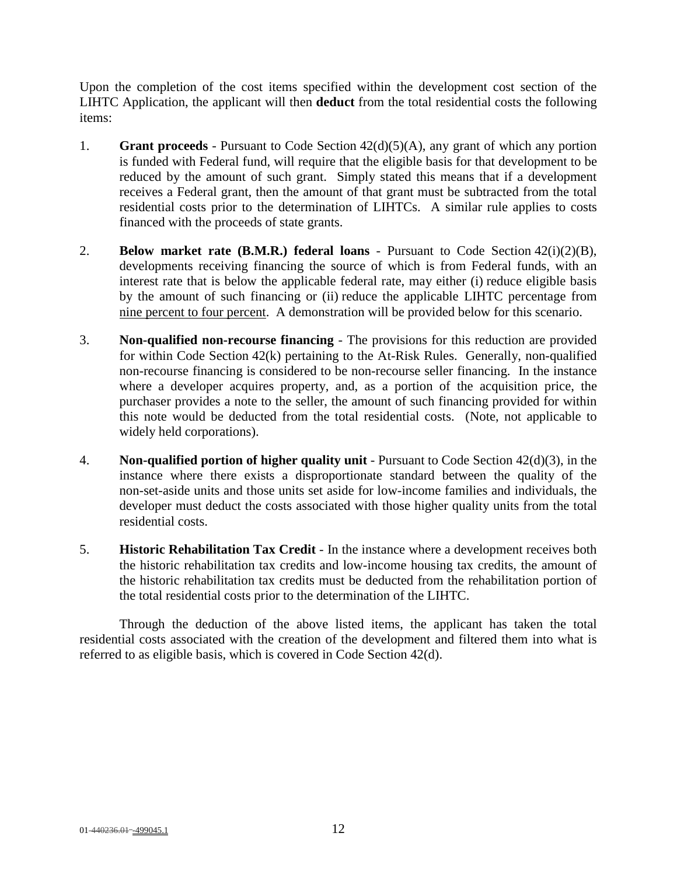Upon the completion of the cost items specified within the development cost section of the LIHTC Application, the applicant will then **deduct** from the total residential costs the following items:

- 1. **Grant proceeds**  Pursuant to Code Section 42(d)(5)(A), any grant of which any portion is funded with Federal fund, will require that the eligible basis for that development to be reduced by the amount of such grant. Simply stated this means that if a development receives a Federal grant, then the amount of that grant must be subtracted from the total residential costs prior to the determination of LIHTCs. A similar rule applies to costs financed with the proceeds of state grants.
- 2. **Below market rate (B.M.R.) federal loans**  Pursuant to Code Section 42(i)(2)(B), developments receiving financing the source of which is from Federal funds, with an interest rate that is below the applicable federal rate, may either (i) reduce eligible basis by the amount of such financing or (ii) reduce the applicable LIHTC percentage from nine percent to four percent. A demonstration will be provided below for this scenario.
- 3. **Non-qualified non-recourse financing** The provisions for this reduction are provided for within Code Section 42(k) pertaining to the At-Risk Rules. Generally, non-qualified non-recourse financing is considered to be non-recourse seller financing. In the instance where a developer acquires property, and, as a portion of the acquisition price, the purchaser provides a note to the seller, the amount of such financing provided for within this note would be deducted from the total residential costs. (Note, not applicable to widely held corporations).
- 4. **Non-qualified portion of higher quality unit** Pursuant to Code Section 42(d)(3), in the instance where there exists a disproportionate standard between the quality of the non-set-aside units and those units set aside for low-income families and individuals, the developer must deduct the costs associated with those higher quality units from the total residential costs.
- 5. **Historic Rehabilitation Tax Credit** In the instance where a development receives both the historic rehabilitation tax credits and low-income housing tax credits, the amount of the historic rehabilitation tax credits must be deducted from the rehabilitation portion of the total residential costs prior to the determination of the LIHTC.

Through the deduction of the above listed items, the applicant has taken the total residential costs associated with the creation of the development and filtered them into what is referred to as eligible basis, which is covered in Code Section 42(d).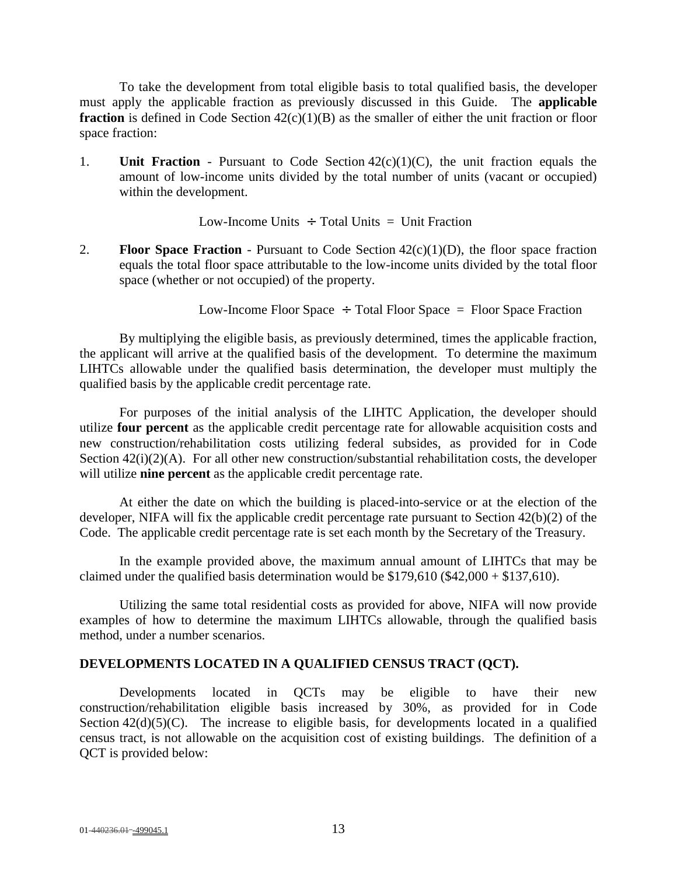To take the development from total eligible basis to total qualified basis, the developer must apply the applicable fraction as previously discussed in this Guide. The **applicable fraction** is defined in Code Section  $42(c)(1)(B)$  as the smaller of either the unit fraction or floor space fraction:

1. **Unit Fraction** - Pursuant to Code Section 42(c)(1)(C), the unit fraction equals the amount of low-income units divided by the total number of units (vacant or occupied) within the development.

Low-Income Units  $\div$  Total Units  $=$  Unit Fraction

2. **Floor Space Fraction** - Pursuant to Code Section 42(c)(1)(D), the floor space fraction equals the total floor space attributable to the low-income units divided by the total floor space (whether or not occupied) of the property.

Low-Income Floor Space  $\div$  Total Floor Space = Floor Space Fraction

By multiplying the eligible basis, as previously determined, times the applicable fraction, the applicant will arrive at the qualified basis of the development. To determine the maximum LIHTCs allowable under the qualified basis determination, the developer must multiply the qualified basis by the applicable credit percentage rate.

For purposes of the initial analysis of the LIHTC Application, the developer should utilize **four percent** as the applicable credit percentage rate for allowable acquisition costs and new construction/rehabilitation costs utilizing federal subsides, as provided for in Code Section 42(i)(2)(A). For all other new construction/substantial rehabilitation costs, the developer will utilize **nine percent** as the applicable credit percentage rate.

At either the date on which the building is placed-into-service or at the election of the developer, NIFA will fix the applicable credit percentage rate pursuant to Section 42(b)(2) of the Code. The applicable credit percentage rate is set each month by the Secretary of the Treasury.

In the example provided above, the maximum annual amount of LIHTCs that may be claimed under the qualified basis determination would be  $$179,610$  ( $$42,000 + $137,610$ ).

Utilizing the same total residential costs as provided for above, NIFA will now provide examples of how to determine the maximum LIHTCs allowable, through the qualified basis method, under a number scenarios.

#### **DEVELOPMENTS LOCATED IN A QUALIFIED CENSUS TRACT (QCT).**

Developments located in QCTs may be eligible to have their new construction/rehabilitation eligible basis increased by 30%, as provided for in Code Section  $42(d)(5)(C)$ . The increase to eligible basis, for developments located in a qualified census tract, is not allowable on the acquisition cost of existing buildings. The definition of a QCT is provided below: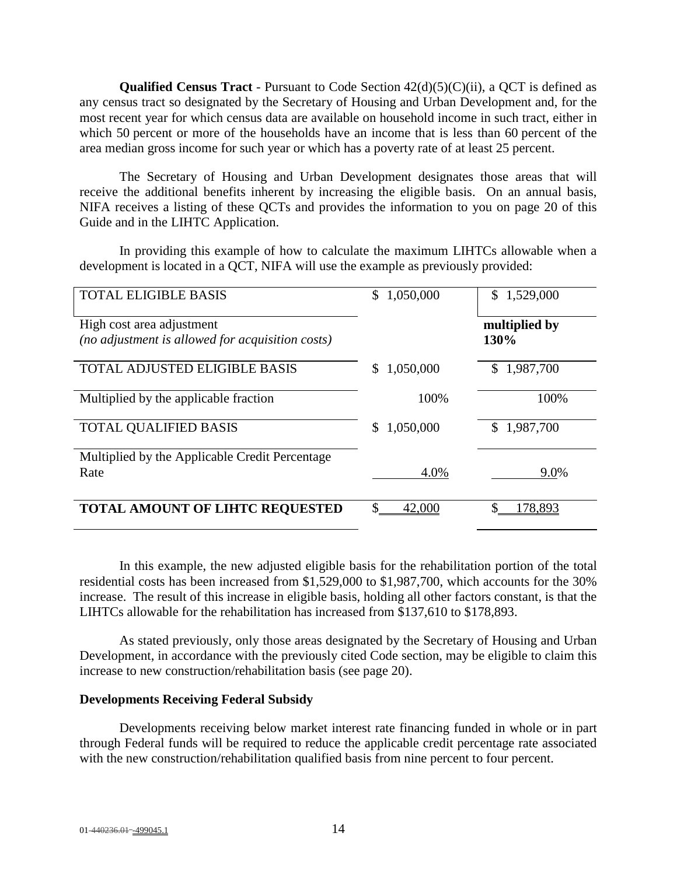**Qualified Census Tract** - Pursuant to Code Section 42(d)(5)(C)(ii), a QCT is defined as any census tract so designated by the Secretary of Housing and Urban Development and, for the most recent year for which census data are available on household income in such tract, either in which 50 percent or more of the households have an income that is less than 60 percent of the area median gross income for such year or which has a poverty rate of at least 25 percent.

The Secretary of Housing and Urban Development designates those areas that will receive the additional benefits inherent by increasing the eligible basis. On an annual basis, NIFA receives a listing of these QCTs and provides the information to you on page 20 of this Guide and in the LIHTC Application.

In providing this example of how to calculate the maximum LIHTCs allowable when a development is located in a QCT, NIFA will use the example as previously provided:

| <b>TOTAL ELIGIBLE BASIS</b>                                                   | 1,050,000<br>\$ | \$1,529,000           |
|-------------------------------------------------------------------------------|-----------------|-----------------------|
| High cost area adjustment<br>(no adjustment is allowed for acquisition costs) |                 | multiplied by<br>130% |
| <b>TOTAL ADJUSTED ELIGIBLE BASIS</b>                                          | 1,050,000       | 1,987,700             |
| Multiplied by the applicable fraction                                         | 100%            | 100%                  |
| <b>TOTAL QUALIFIED BASIS</b>                                                  | 1,050,000<br>S. | \$1,987,700           |
| Multiplied by the Applicable Credit Percentage<br>Rate                        | 4.0%            | 9.0%                  |
|                                                                               |                 |                       |
| <b>TOTAL AMOUNT OF LIHTC REQUESTED</b>                                        | 42,000          | \$<br>178,893         |

In this example, the new adjusted eligible basis for the rehabilitation portion of the total residential costs has been increased from \$1,529,000 to \$1,987,700, which accounts for the 30% increase. The result of this increase in eligible basis, holding all other factors constant, is that the LIHTCs allowable for the rehabilitation has increased from \$137,610 to \$178,893.

As stated previously, only those areas designated by the Secretary of Housing and Urban Development, in accordance with the previously cited Code section, may be eligible to claim this increase to new construction/rehabilitation basis (see page 20).

#### **Developments Receiving Federal Subsidy**

Developments receiving below market interest rate financing funded in whole or in part through Federal funds will be required to reduce the applicable credit percentage rate associated with the new construction/rehabilitation qualified basis from nine percent to four percent.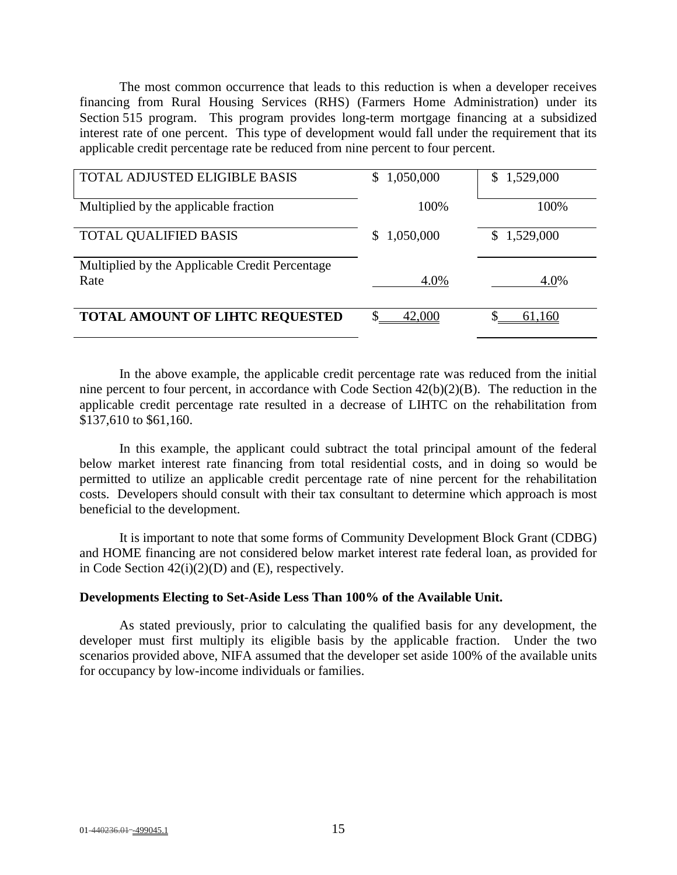The most common occurrence that leads to this reduction is when a developer receives financing from Rural Housing Services (RHS) (Farmers Home Administration) under its Section 515 program. This program provides long-term mortgage financing at a subsidized interest rate of one percent. This type of development would fall under the requirement that its applicable credit percentage rate be reduced from nine percent to four percent.

| TOTAL ADJUSTED ELIGIBLE BASIS                  | 1,050,000<br>$\mathbb{S}$ | \$1,529,000 |
|------------------------------------------------|---------------------------|-------------|
| Multiplied by the applicable fraction          | 100%                      | 100%        |
| <b>TOTAL QUALIFIED BASIS</b>                   | 1,050,000                 | \$1,529,000 |
| Multiplied by the Applicable Credit Percentage |                           |             |
| Rate                                           | 4.0%                      | 4.0%        |
| <b>TOTAL AMOUNT OF LIHTC REQUESTED</b>         | 42,000                    | 61.160      |

In the above example, the applicable credit percentage rate was reduced from the initial nine percent to four percent, in accordance with Code Section 42(b)(2)(B). The reduction in the applicable credit percentage rate resulted in a decrease of LIHTC on the rehabilitation from \$137,610 to \$61,160.

In this example, the applicant could subtract the total principal amount of the federal below market interest rate financing from total residential costs, and in doing so would be permitted to utilize an applicable credit percentage rate of nine percent for the rehabilitation costs. Developers should consult with their tax consultant to determine which approach is most beneficial to the development.

It is important to note that some forms of Community Development Block Grant (CDBG) and HOME financing are not considered below market interest rate federal loan, as provided for in Code Section  $42(i)(2)(D)$  and  $(E)$ , respectively.

#### **Developments Electing to Set-Aside Less Than 100% of the Available Unit.**

As stated previously, prior to calculating the qualified basis for any development, the developer must first multiply its eligible basis by the applicable fraction. Under the two scenarios provided above, NIFA assumed that the developer set aside 100% of the available units for occupancy by low-income individuals or families.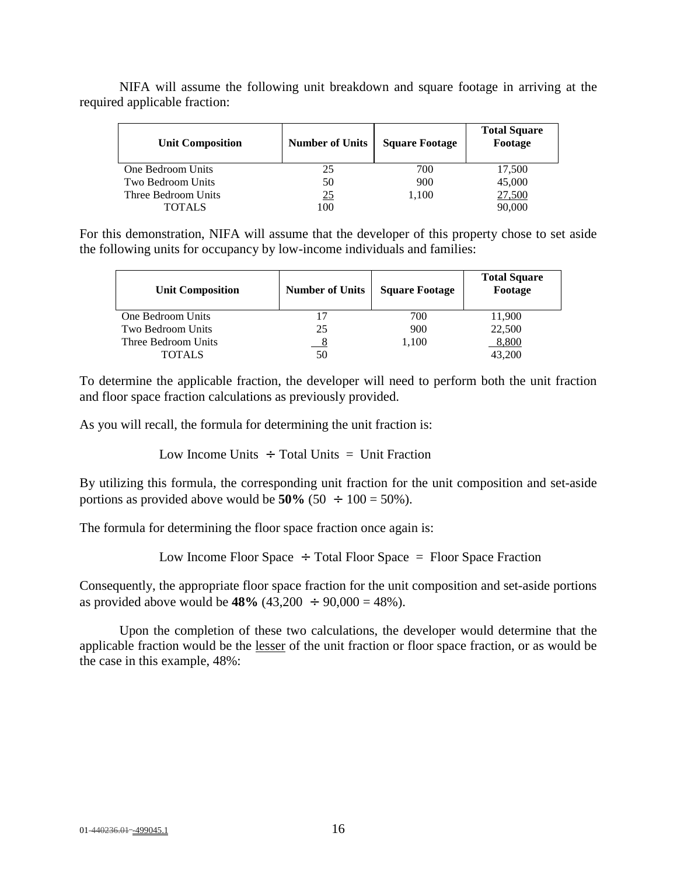| <b>Unit Composition</b> | <b>Number of Units</b> | <b>Square Footage</b> | <b>Total Square</b><br>Footage |
|-------------------------|------------------------|-----------------------|--------------------------------|
| One Bedroom Units       | 25                     | 700                   | 17,500                         |
| Two Bedroom Units       | 50                     | 900                   | 45,000                         |
| Three Bedroom Units     | 25                     | 1.100                 | 27,500                         |
| <b>TOTALS</b>           | 100                    |                       | 90,000                         |

NIFA will assume the following unit breakdown and square footage in arriving at the required applicable fraction:

For this demonstration, NIFA will assume that the developer of this property chose to set aside the following units for occupancy by low-income individuals and families:

| <b>Unit Composition</b>  | <b>Number of Units</b> | <b>Square Footage</b> | <b>Total Square</b><br>Footage |
|--------------------------|------------------------|-----------------------|--------------------------------|
| One Bedroom Units        |                        | 700                   | 11,900                         |
| <b>Two Bedroom Units</b> | 25                     | 900                   | 22,500                         |
| Three Bedroom Units      |                        | 1,100                 | 8,800                          |
| TOTALS                   | 50                     |                       | 43,200                         |

To determine the applicable fraction, the developer will need to perform both the unit fraction and floor space fraction calculations as previously provided.

As you will recall, the formula for determining the unit fraction is:

Low Income Units  $\div$  Total Units = Unit Fraction

By utilizing this formula, the corresponding unit fraction for the unit composition and set-aside portions as provided above would be  $50\%$  (50  $\div$  100 = 50%).

The formula for determining the floor space fraction once again is:

Low Income Floor Space  $\div$  Total Floor Space = Floor Space Fraction

Consequently, the appropriate floor space fraction for the unit composition and set-aside portions as provided above would be  $48\%$  (43,200  $\div$  90,000 = 48%).

Upon the completion of these two calculations, the developer would determine that the applicable fraction would be the lesser of the unit fraction or floor space fraction, or as would be the case in this example, 48%: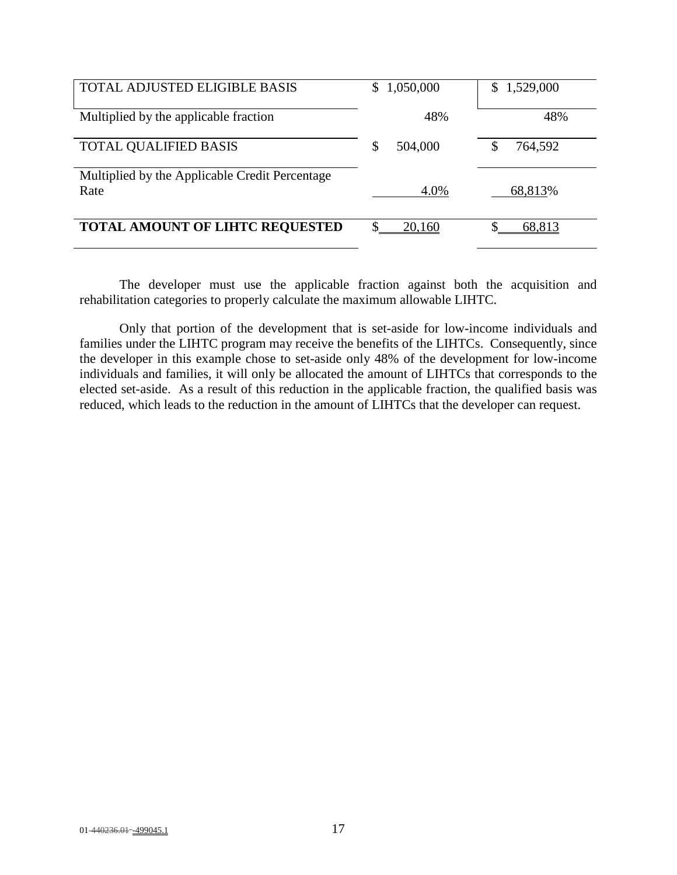| <b>TOTAL ADJUSTED ELIGIBLE BASIS</b>           | 1,050,000     | 1,529,000    |
|------------------------------------------------|---------------|--------------|
| Multiplied by the applicable fraction          | 48%           | 48%          |
| <b>TOTAL QUALIFIED BASIS</b>                   | 504,000<br>\$ | 764,592<br>S |
| Multiplied by the Applicable Credit Percentage |               |              |
| Rate                                           | 4.0%          | 68,813%      |
| <b>TOTAL AMOUNT OF LIHTC REQUESTED</b>         | 20,160        | 68,813       |

The developer must use the applicable fraction against both the acquisition and rehabilitation categories to properly calculate the maximum allowable LIHTC.

Only that portion of the development that is set-aside for low-income individuals and families under the LIHTC program may receive the benefits of the LIHTCs. Consequently, since the developer in this example chose to set-aside only 48% of the development for low-income individuals and families, it will only be allocated the amount of LIHTCs that corresponds to the elected set-aside. As a result of this reduction in the applicable fraction, the qualified basis was reduced, which leads to the reduction in the amount of LIHTCs that the developer can request.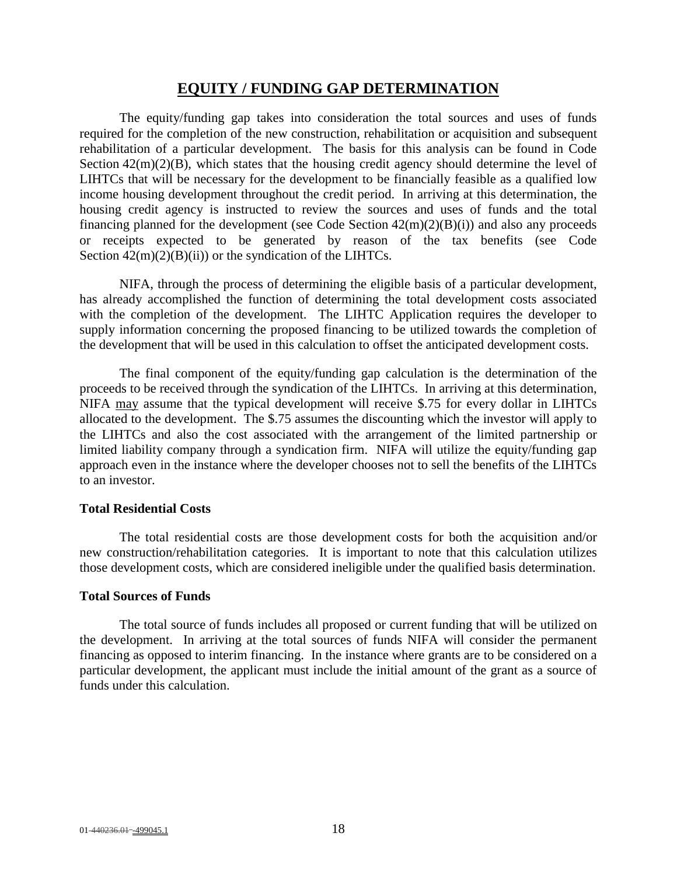## **EQUITY / FUNDING GAP DETERMINATION**

The equity/funding gap takes into consideration the total sources and uses of funds required for the completion of the new construction, rehabilitation or acquisition and subsequent rehabilitation of a particular development. The basis for this analysis can be found in Code Section  $42(m)(2)(B)$ , which states that the housing credit agency should determine the level of LIHTCs that will be necessary for the development to be financially feasible as a qualified low income housing development throughout the credit period. In arriving at this determination, the housing credit agency is instructed to review the sources and uses of funds and the total financing planned for the development (see Code Section 42(m)(2)(B)(i)) and also any proceeds or receipts expected to be generated by reason of the tax benefits (see Code Section  $42(m)(2)(B)(ii)$  or the syndication of the LIHTCs.

NIFA, through the process of determining the eligible basis of a particular development, has already accomplished the function of determining the total development costs associated with the completion of the development. The LIHTC Application requires the developer to supply information concerning the proposed financing to be utilized towards the completion of the development that will be used in this calculation to offset the anticipated development costs.

The final component of the equity/funding gap calculation is the determination of the proceeds to be received through the syndication of the LIHTCs. In arriving at this determination, NIFA may assume that the typical development will receive \$.75 for every dollar in LIHTCs allocated to the development. The \$.75 assumes the discounting which the investor will apply to the LIHTCs and also the cost associated with the arrangement of the limited partnership or limited liability company through a syndication firm. NIFA will utilize the equity/funding gap approach even in the instance where the developer chooses not to sell the benefits of the LIHTCs to an investor.

#### **Total Residential Costs**

The total residential costs are those development costs for both the acquisition and/or new construction/rehabilitation categories. It is important to note that this calculation utilizes those development costs, which are considered ineligible under the qualified basis determination.

#### **Total Sources of Funds**

The total source of funds includes all proposed or current funding that will be utilized on the development. In arriving at the total sources of funds NIFA will consider the permanent financing as opposed to interim financing. In the instance where grants are to be considered on a particular development, the applicant must include the initial amount of the grant as a source of funds under this calculation.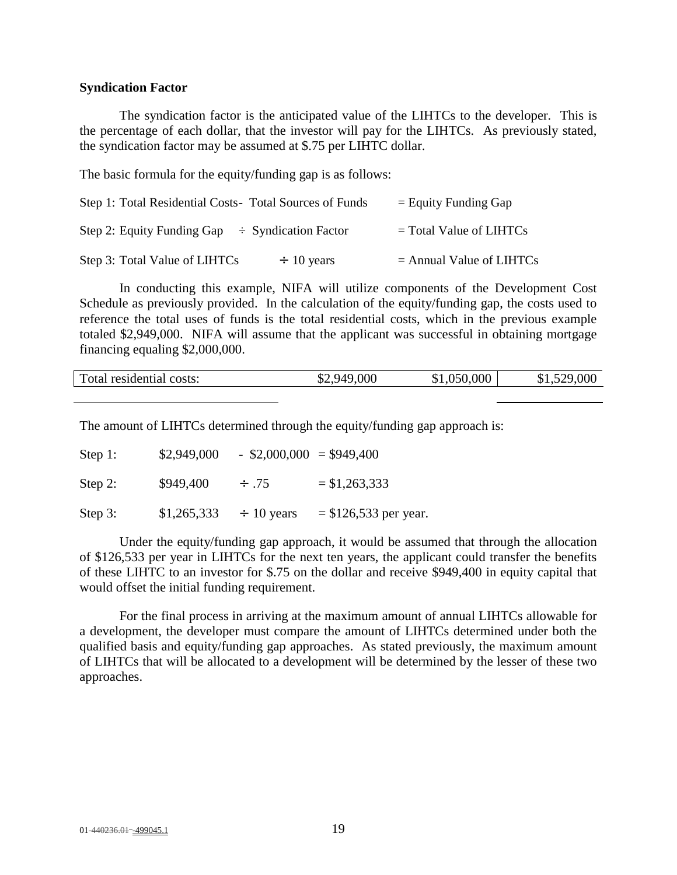#### **Syndication Factor**

The syndication factor is the anticipated value of the LIHTCs to the developer. This is the percentage of each dollar, that the investor will pay for the LIHTCs. As previously stated, the syndication factor may be assumed at \$.75 per LIHTC dollar.

The basic formula for the equity/funding gap is as follows:

| Step 1: Total Residential Costs - Total Sources of Funds | $=$ Equity Funding Gap     |
|----------------------------------------------------------|----------------------------|
| Step 2: Equity Funding Gap $\div$ Syndication Factor     | $=$ Total Value of LIHTCs  |
| Step 3: Total Value of LIHTCs<br>$\div$ 10 years         | $=$ Annual Value of LIHTCs |

In conducting this example, NIFA will utilize components of the Development Cost Schedule as previously provided. In the calculation of the equity/funding gap, the costs used to reference the total uses of funds is the total residential costs, which in the previous example totaled \$2,949,000. NIFA will assume that the applicant was successful in obtaining mortgage financing equaling \$2,000,000.

|  | Total residential costs: | \$2,949,000<br>DZ. | \$1,050,000 | \$1,529,000 |
|--|--------------------------|--------------------|-------------|-------------|
|--|--------------------------|--------------------|-------------|-------------|

The amount of LIHTCs determined through the equity/funding gap approach is:

| Step 1:    | \$2,949,000 | $-$ \$2,000,000 = \$949,400 |                         |
|------------|-------------|-----------------------------|-------------------------|
| Step 2:    | \$949,400   | $\div$ .75                  | $= $1,263,333$          |
| Step $3$ : | \$1,265,333 | $\div$ 10 years             | $=$ \$126,533 per year. |

Under the equity/funding gap approach, it would be assumed that through the allocation of \$126,533 per year in LIHTCs for the next ten years, the applicant could transfer the benefits of these LIHTC to an investor for \$.75 on the dollar and receive \$949,400 in equity capital that would offset the initial funding requirement.

For the final process in arriving at the maximum amount of annual LIHTCs allowable for a development, the developer must compare the amount of LIHTCs determined under both the qualified basis and equity/funding gap approaches. As stated previously, the maximum amount of LIHTCs that will be allocated to a development will be determined by the lesser of these two approaches.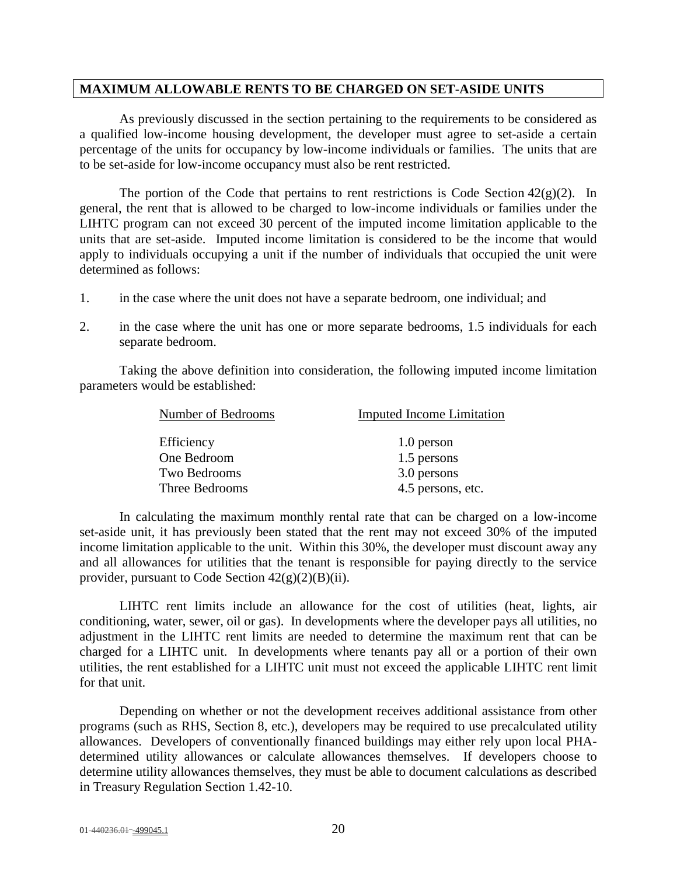#### **MAXIMUM ALLOWABLE RENTS TO BE CHARGED ON SET-ASIDE UNITS**

As previously discussed in the section pertaining to the requirements to be considered as a qualified low-income housing development, the developer must agree to set-aside a certain percentage of the units for occupancy by low-income individuals or families. The units that are to be set-aside for low-income occupancy must also be rent restricted.

The portion of the Code that pertains to rent restrictions is Code Section  $42(g)(2)$ . In general, the rent that is allowed to be charged to low-income individuals or families under the LIHTC program can not exceed 30 percent of the imputed income limitation applicable to the units that are set-aside. Imputed income limitation is considered to be the income that would apply to individuals occupying a unit if the number of individuals that occupied the unit were determined as follows:

- 1. in the case where the unit does not have a separate bedroom, one individual; and
- 2. in the case where the unit has one or more separate bedrooms, 1.5 individuals for each separate bedroom.

Taking the above definition into consideration, the following imputed income limitation parameters would be established:

| Number of Bedrooms | <b>Imputed Income Limitation</b> |  |
|--------------------|----------------------------------|--|
| Efficiency         | 1.0 person                       |  |
| One Bedroom        | 1.5 persons                      |  |
| Two Bedrooms       | 3.0 persons                      |  |
| Three Bedrooms     | 4.5 persons, etc.                |  |

In calculating the maximum monthly rental rate that can be charged on a low-income set-aside unit, it has previously been stated that the rent may not exceed 30% of the imputed income limitation applicable to the unit. Within this 30%, the developer must discount away any and all allowances for utilities that the tenant is responsible for paying directly to the service provider, pursuant to Code Section  $42(g)(2)(B)(ii)$ .

LIHTC rent limits include an allowance for the cost of utilities (heat, lights, air conditioning, water, sewer, oil or gas). In developments where the developer pays all utilities, no adjustment in the LIHTC rent limits are needed to determine the maximum rent that can be charged for a LIHTC unit. In developments where tenants pay all or a portion of their own utilities, the rent established for a LIHTC unit must not exceed the applicable LIHTC rent limit for that unit.

Depending on whether or not the development receives additional assistance from other programs (such as RHS, Section 8, etc.), developers may be required to use precalculated utility allowances. Developers of conventionally financed buildings may either rely upon local PHAdetermined utility allowances or calculate allowances themselves. If developers choose to determine utility allowances themselves, they must be able to document calculations as described in Treasury Regulation Section 1.42-10.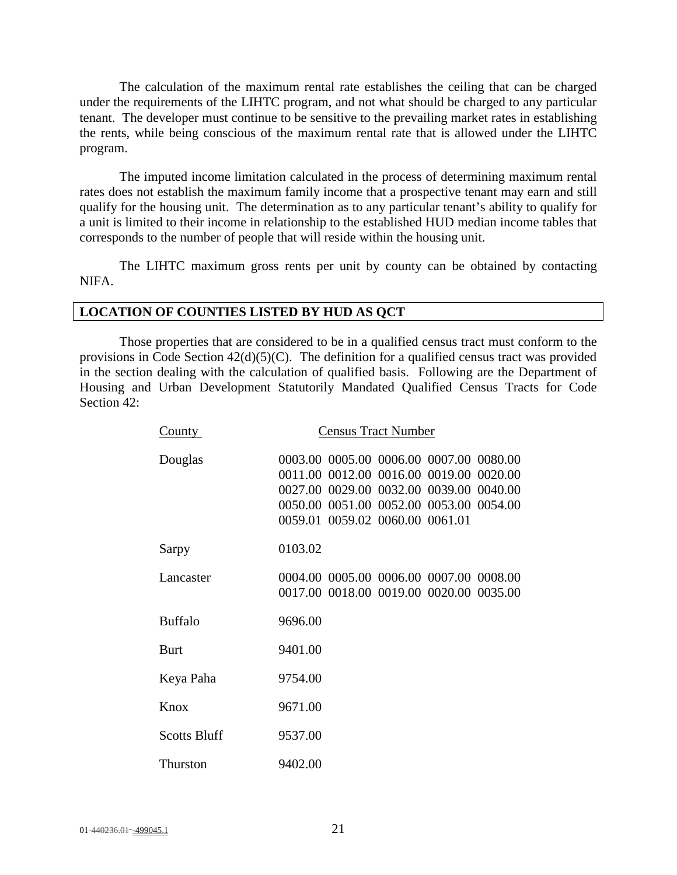The calculation of the maximum rental rate establishes the ceiling that can be charged under the requirements of the LIHTC program, and not what should be charged to any particular tenant. The developer must continue to be sensitive to the prevailing market rates in establishing the rents, while being conscious of the maximum rental rate that is allowed under the LIHTC program.

The imputed income limitation calculated in the process of determining maximum rental rates does not establish the maximum family income that a prospective tenant may earn and still qualify for the housing unit. The determination as to any particular tenant's ability to qualify for a unit is limited to their income in relationship to the established HUD median income tables that corresponds to the number of people that will reside within the housing unit.

The LIHTC maximum gross rents per unit by county can be obtained by contacting NIFA.

#### **LOCATION OF COUNTIES LISTED BY HUD AS QCT**

Those properties that are considered to be in a qualified census tract must conform to the provisions in Code Section 42(d)(5)(C). The definition for a qualified census tract was provided in the section dealing with the calculation of qualified basis. Following are the Department of Housing and Urban Development Statutorily Mandated Qualified Census Tracts for Code Section 42:

| County              | <b>Census Tract Number</b>                                                                                                                                                                                  |  |  |  |
|---------------------|-------------------------------------------------------------------------------------------------------------------------------------------------------------------------------------------------------------|--|--|--|
| Douglas             | 0003.00 0005.00 0006.00 0007.00 0080.00<br>0011.00 0012.00 0016.00 0019.00 0020.00<br>0027.00 0029.00 0032.00 0039.00 0040.00<br>0050.00 0051.00 0052.00 0053.00 0054.00<br>0059.01 0059.02 0060.00 0061.01 |  |  |  |
| Sarpy               | 0103.02                                                                                                                                                                                                     |  |  |  |
| Lancaster           | 0004.00 0005.00 0006.00 0007.00 0008.00<br>0017.00 0018.00 0019.00 0020.00 0035.00                                                                                                                          |  |  |  |
| <b>Buffalo</b>      | 9696.00                                                                                                                                                                                                     |  |  |  |
| <b>Burt</b>         | 9401.00                                                                                                                                                                                                     |  |  |  |
| Keya Paha           | 9754.00                                                                                                                                                                                                     |  |  |  |
| Knox                | 9671.00                                                                                                                                                                                                     |  |  |  |
| <b>Scotts Bluff</b> | 9537.00                                                                                                                                                                                                     |  |  |  |
| Thurston            | 9402.00                                                                                                                                                                                                     |  |  |  |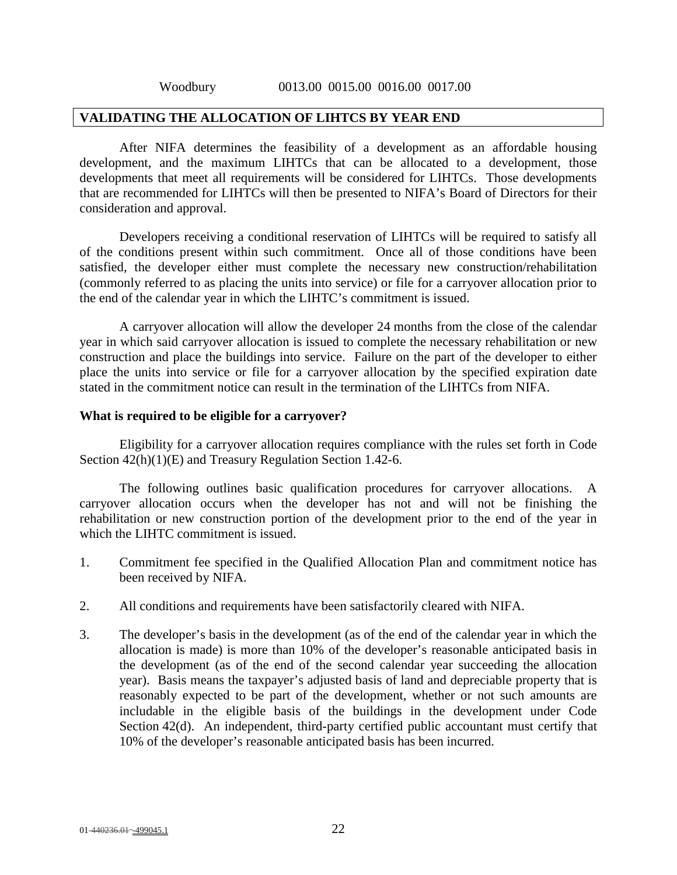### **VALIDATING THE ALLOCATION OF LIHTCS BY YEAR END**

After NIFA determines the feasibility of a development as an affordable housing development, and the maximum LIHTCs that can be allocated to a development, those developments that meet all requirements will be considered for LIHTCs. Those developments that are recommended for LIHTCs will then be presented to NIFA's Board of Directors for their consideration and approval.

Developers receiving a conditional reservation of LIHTCs will be required to satisfy all of the conditions present within such commitment. Once all of those conditions have been satisfied, the developer either must complete the necessary new construction/rehabilitation (commonly referred to as placing the units into service) or file for a carryover allocation prior to the end of the calendar year in which the LIHTC's commitment is issued.

A carryover allocation will allow the developer 24 months from the close of the calendar year in which said carryover allocation is issued to complete the necessary rehabilitation or new construction and place the buildings into service. Failure on the part of the developer to either place the units into service or file for a carryover allocation by the specified expiration date stated in the commitment notice can result in the termination of the LIHTCs from NIFA.

#### **What is required to be eligible for a carryover?**

Eligibility for a carryover allocation requires compliance with the rules set forth in Code Section 42(h)(1)(E) and Treasury Regulation Section 1.42-6.

The following outlines basic qualification procedures for carryover allocations. A carryover allocation occurs when the developer has not and will not be finishing the rehabilitation or new construction portion of the development prior to the end of the year in which the LIHTC commitment is issued.

- 1. Commitment fee specified in the Qualified Allocation Plan and commitment notice has been received by NIFA.
- 2. All conditions and requirements have been satisfactorily cleared with NIFA.
- 3. The developer's basis in the development (as of the end of the calendar year in which the allocation is made) is more than 10% of the developer's reasonable anticipated basis in the development (as of the end of the second calendar year succeeding the allocation year). Basis means the taxpayer's adjusted basis of land and depreciable property that is reasonably expected to be part of the development, whether or not such amounts are includable in the eligible basis of the buildings in the development under Code Section 42(d). An independent, third-party certified public accountant must certify that 10% of the developer's reasonable anticipated basis has been incurred.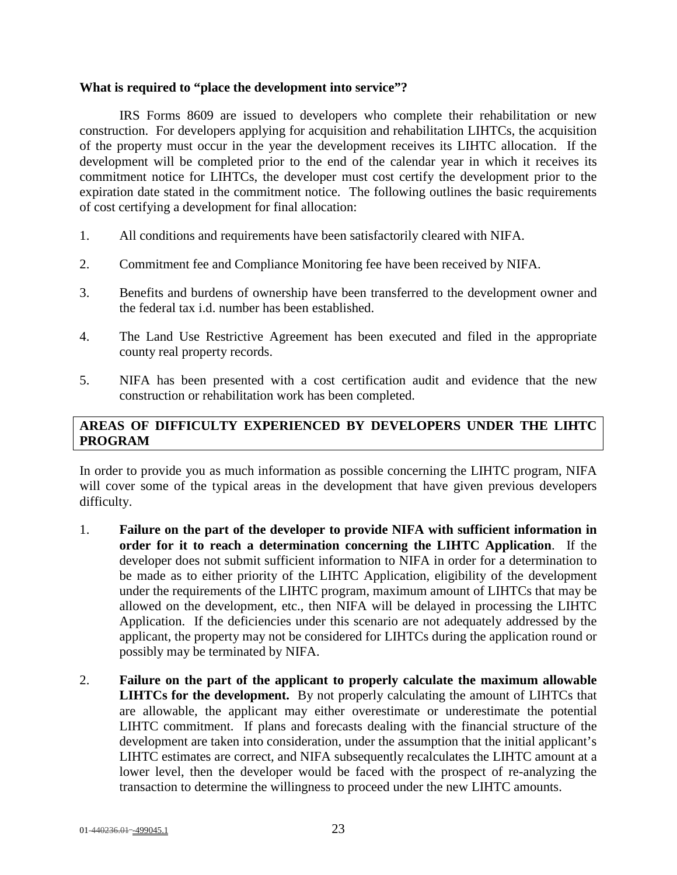#### **What is required to "place the development into service"?**

IRS Forms 8609 are issued to developers who complete their rehabilitation or new construction. For developers applying for acquisition and rehabilitation LIHTCs, the acquisition of the property must occur in the year the development receives its LIHTC allocation. If the development will be completed prior to the end of the calendar year in which it receives its commitment notice for LIHTCs, the developer must cost certify the development prior to the expiration date stated in the commitment notice. The following outlines the basic requirements of cost certifying a development for final allocation:

- 1. All conditions and requirements have been satisfactorily cleared with NIFA.
- 2. Commitment fee and Compliance Monitoring fee have been received by NIFA.
- 3. Benefits and burdens of ownership have been transferred to the development owner and the federal tax i.d. number has been established.
- 4. The Land Use Restrictive Agreement has been executed and filed in the appropriate county real property records.
- 5. NIFA has been presented with a cost certification audit and evidence that the new construction or rehabilitation work has been completed.

# **AREAS OF DIFFICULTY EXPERIENCED BY DEVELOPERS UNDER THE LIHTC PROGRAM**

In order to provide you as much information as possible concerning the LIHTC program, NIFA will cover some of the typical areas in the development that have given previous developers difficulty.

- 1. **Failure on the part of the developer to provide NIFA with sufficient information in order for it to reach a determination concerning the LIHTC Application**. If the developer does not submit sufficient information to NIFA in order for a determination to be made as to either priority of the LIHTC Application, eligibility of the development under the requirements of the LIHTC program, maximum amount of LIHTCs that may be allowed on the development, etc., then NIFA will be delayed in processing the LIHTC Application. If the deficiencies under this scenario are not adequately addressed by the applicant, the property may not be considered for LIHTCs during the application round or possibly may be terminated by NIFA.
- 2. **Failure on the part of the applicant to properly calculate the maximum allowable LIHTCs for the development.** By not properly calculating the amount of LIHTCs that are allowable, the applicant may either overestimate or underestimate the potential LIHTC commitment. If plans and forecasts dealing with the financial structure of the development are taken into consideration, under the assumption that the initial applicant's LIHTC estimates are correct, and NIFA subsequently recalculates the LIHTC amount at a lower level, then the developer would be faced with the prospect of re-analyzing the transaction to determine the willingness to proceed under the new LIHTC amounts.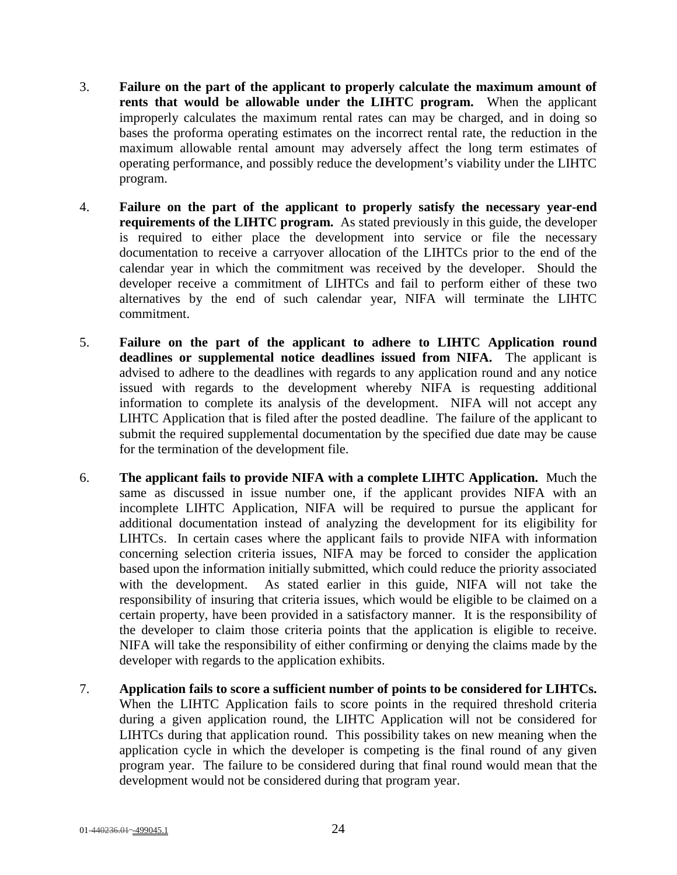- 3. **Failure on the part of the applicant to properly calculate the maximum amount of rents that would be allowable under the LIHTC program.** When the applicant improperly calculates the maximum rental rates can may be charged, and in doing so bases the proforma operating estimates on the incorrect rental rate, the reduction in the maximum allowable rental amount may adversely affect the long term estimates of operating performance, and possibly reduce the development's viability under the LIHTC program.
- 4. **Failure on the part of the applicant to properly satisfy the necessary year-end requirements of the LIHTC program.** As stated previously in this guide, the developer is required to either place the development into service or file the necessary documentation to receive a carryover allocation of the LIHTCs prior to the end of the calendar year in which the commitment was received by the developer. Should the developer receive a commitment of LIHTCs and fail to perform either of these two alternatives by the end of such calendar year, NIFA will terminate the LIHTC commitment.
- 5. **Failure on the part of the applicant to adhere to LIHTC Application round deadlines or supplemental notice deadlines issued from NIFA.** The applicant is advised to adhere to the deadlines with regards to any application round and any notice issued with regards to the development whereby NIFA is requesting additional information to complete its analysis of the development. NIFA will not accept any LIHTC Application that is filed after the posted deadline. The failure of the applicant to submit the required supplemental documentation by the specified due date may be cause for the termination of the development file.
- 6. **The applicant fails to provide NIFA with a complete LIHTC Application.** Much the same as discussed in issue number one, if the applicant provides NIFA with an incomplete LIHTC Application, NIFA will be required to pursue the applicant for additional documentation instead of analyzing the development for its eligibility for LIHTCs. In certain cases where the applicant fails to provide NIFA with information concerning selection criteria issues, NIFA may be forced to consider the application based upon the information initially submitted, which could reduce the priority associated with the development. As stated earlier in this guide, NIFA will not take the responsibility of insuring that criteria issues, which would be eligible to be claimed on a certain property, have been provided in a satisfactory manner. It is the responsibility of the developer to claim those criteria points that the application is eligible to receive. NIFA will take the responsibility of either confirming or denying the claims made by the developer with regards to the application exhibits.
- 7. **Application fails to score a sufficient number of points to be considered for LIHTCs.** When the LIHTC Application fails to score points in the required threshold criteria during a given application round, the LIHTC Application will not be considered for LIHTCs during that application round. This possibility takes on new meaning when the application cycle in which the developer is competing is the final round of any given program year. The failure to be considered during that final round would mean that the development would not be considered during that program year.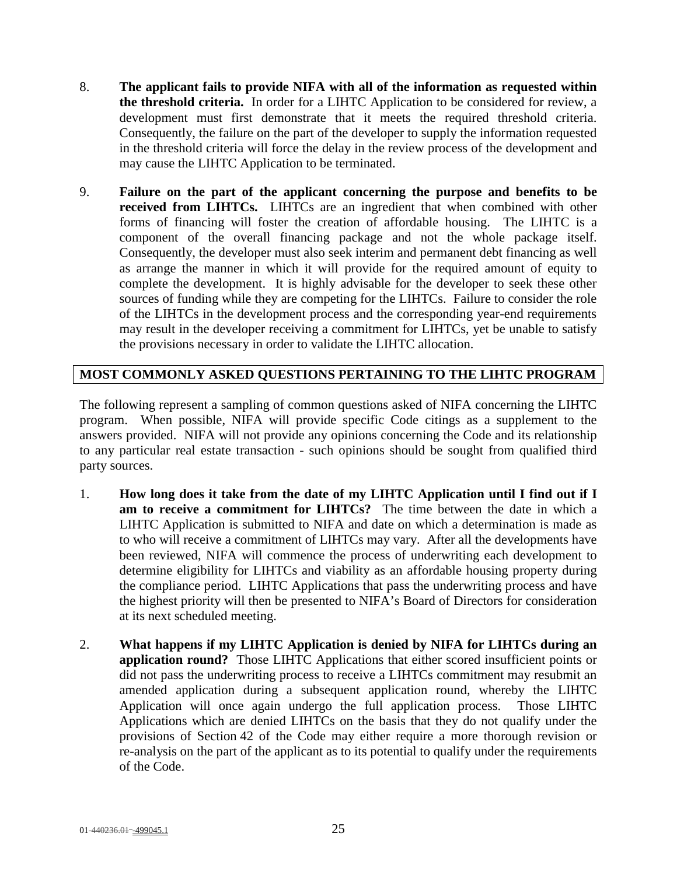- 8. **The applicant fails to provide NIFA with all of the information as requested within the threshold criteria.** In order for a LIHTC Application to be considered for review, a development must first demonstrate that it meets the required threshold criteria. Consequently, the failure on the part of the developer to supply the information requested in the threshold criteria will force the delay in the review process of the development and may cause the LIHTC Application to be terminated.
- 9. **Failure on the part of the applicant concerning the purpose and benefits to be received from LIHTCs.** LIHTCs are an ingredient that when combined with other forms of financing will foster the creation of affordable housing. The LIHTC is a component of the overall financing package and not the whole package itself. Consequently, the developer must also seek interim and permanent debt financing as well as arrange the manner in which it will provide for the required amount of equity to complete the development. It is highly advisable for the developer to seek these other sources of funding while they are competing for the LIHTCs. Failure to consider the role of the LIHTCs in the development process and the corresponding year-end requirements may result in the developer receiving a commitment for LIHTCs, yet be unable to satisfy the provisions necessary in order to validate the LIHTC allocation.

# **MOST COMMONLY ASKED QUESTIONS PERTAINING TO THE LIHTC PROGRAM**

The following represent a sampling of common questions asked of NIFA concerning the LIHTC program. When possible, NIFA will provide specific Code citings as a supplement to the answers provided. NIFA will not provide any opinions concerning the Code and its relationship to any particular real estate transaction - such opinions should be sought from qualified third party sources.

- 1. **How long does it take from the date of my LIHTC Application until I find out if I am to receive a commitment for LIHTCs?** The time between the date in which a LIHTC Application is submitted to NIFA and date on which a determination is made as to who will receive a commitment of LIHTCs may vary. After all the developments have been reviewed, NIFA will commence the process of underwriting each development to determine eligibility for LIHTCs and viability as an affordable housing property during the compliance period. LIHTC Applications that pass the underwriting process and have the highest priority will then be presented to NIFA's Board of Directors for consideration at its next scheduled meeting.
- 2. **What happens if my LIHTC Application is denied by NIFA for LIHTCs during an application round?** Those LIHTC Applications that either scored insufficient points or did not pass the underwriting process to receive a LIHTCs commitment may resubmit an amended application during a subsequent application round, whereby the LIHTC Application will once again undergo the full application process. Those LIHTC Applications which are denied LIHTCs on the basis that they do not qualify under the provisions of Section 42 of the Code may either require a more thorough revision or re-analysis on the part of the applicant as to its potential to qualify under the requirements of the Code.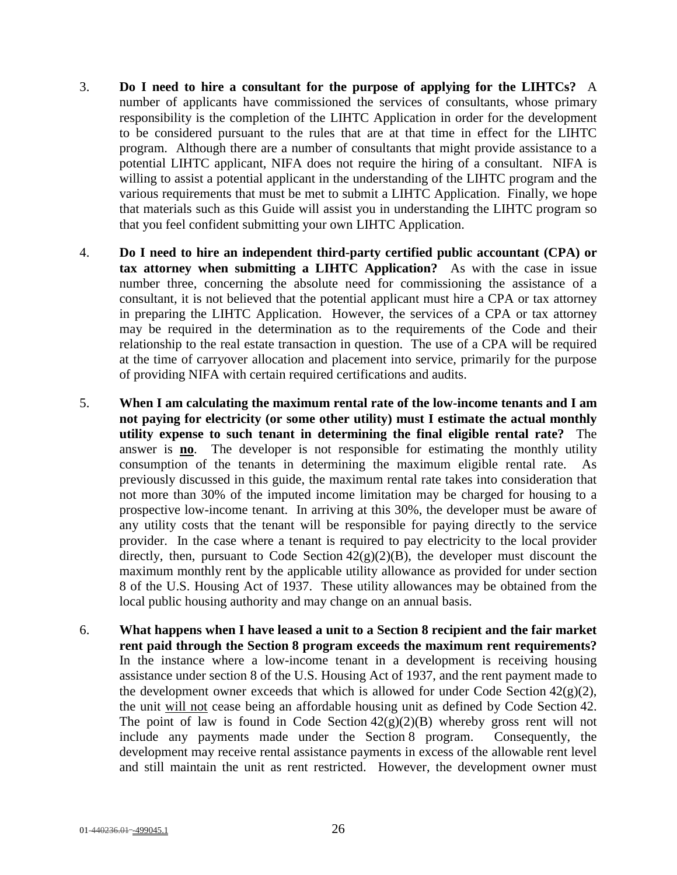- 3. **Do I need to hire a consultant for the purpose of applying for the LIHTCs?** A number of applicants have commissioned the services of consultants, whose primary responsibility is the completion of the LIHTC Application in order for the development to be considered pursuant to the rules that are at that time in effect for the LIHTC program. Although there are a number of consultants that might provide assistance to a potential LIHTC applicant, NIFA does not require the hiring of a consultant. NIFA is willing to assist a potential applicant in the understanding of the LIHTC program and the various requirements that must be met to submit a LIHTC Application. Finally, we hope that materials such as this Guide will assist you in understanding the LIHTC program so that you feel confident submitting your own LIHTC Application.
- 4. **Do I need to hire an independent third-party certified public accountant (CPA) or tax attorney when submitting a LIHTC Application?** As with the case in issue number three, concerning the absolute need for commissioning the assistance of a consultant, it is not believed that the potential applicant must hire a CPA or tax attorney in preparing the LIHTC Application. However, the services of a CPA or tax attorney may be required in the determination as to the requirements of the Code and their relationship to the real estate transaction in question. The use of a CPA will be required at the time of carryover allocation and placement into service, primarily for the purpose of providing NIFA with certain required certifications and audits.
- 5. **When I am calculating the maximum rental rate of the low-income tenants and I am not paying for electricity (or some other utility) must I estimate the actual monthly utility expense to such tenant in determining the final eligible rental rate?** The answer is **no**. The developer is not responsible for estimating the monthly utility consumption of the tenants in determining the maximum eligible rental rate. As previously discussed in this guide, the maximum rental rate takes into consideration that not more than 30% of the imputed income limitation may be charged for housing to a prospective low-income tenant. In arriving at this 30%, the developer must be aware of any utility costs that the tenant will be responsible for paying directly to the service provider. In the case where a tenant is required to pay electricity to the local provider directly, then, pursuant to Code Section  $42(g)(2)(B)$ , the developer must discount the maximum monthly rent by the applicable utility allowance as provided for under section 8 of the U.S. Housing Act of 1937. These utility allowances may be obtained from the local public housing authority and may change on an annual basis.
- 6. **What happens when I have leased a unit to a Section 8 recipient and the fair market rent paid through the Section 8 program exceeds the maximum rent requirements?** In the instance where a low-income tenant in a development is receiving housing assistance under section 8 of the U.S. Housing Act of 1937, and the rent payment made to the development owner exceeds that which is allowed for under Code Section  $42(g)(2)$ , the unit will not cease being an affordable housing unit as defined by Code Section 42. The point of law is found in Code Section  $42(g)(2)(B)$  whereby gross rent will not include any payments made under the Section 8 program. Consequently, the development may receive rental assistance payments in excess of the allowable rent level and still maintain the unit as rent restricted. However, the development owner must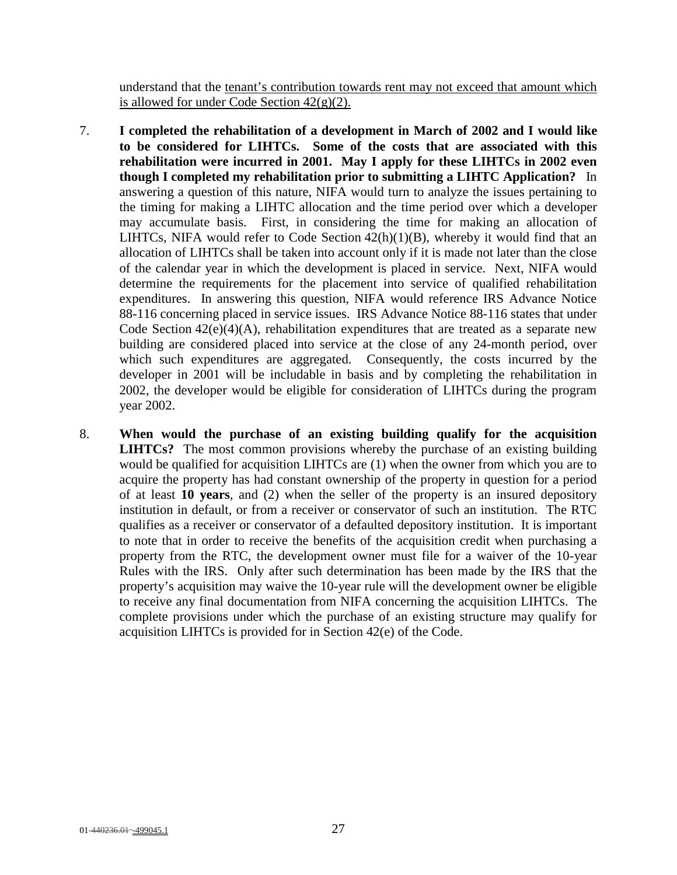understand that the tenant's contribution towards rent may not exceed that amount which is allowed for under Code Section  $42(g)(2)$ .

- 7. **I completed the rehabilitation of a development in March of 2002 and I would like to be considered for LIHTCs. Some of the costs that are associated with this rehabilitation were incurred in 2001. May I apply for these LIHTCs in 2002 even though I completed my rehabilitation prior to submitting a LIHTC Application?** In answering a question of this nature, NIFA would turn to analyze the issues pertaining to the timing for making a LIHTC allocation and the time period over which a developer may accumulate basis. First, in considering the time for making an allocation of LIHTCs, NIFA would refer to Code Section  $42(h)(1)(B)$ , whereby it would find that an allocation of LIHTCs shall be taken into account only if it is made not later than the close of the calendar year in which the development is placed in service. Next, NIFA would determine the requirements for the placement into service of qualified rehabilitation expenditures. In answering this question, NIFA would reference IRS Advance Notice 88-116 concerning placed in service issues. IRS Advance Notice 88-116 states that under Code Section  $42(e)(4)(A)$ , rehabilitation expenditures that are treated as a separate new building are considered placed into service at the close of any 24-month period, over which such expenditures are aggregated. Consequently, the costs incurred by the developer in 2001 will be includable in basis and by completing the rehabilitation in 2002, the developer would be eligible for consideration of LIHTCs during the program year 2002.
- 8. **When would the purchase of an existing building qualify for the acquisition LIHTCs?** The most common provisions whereby the purchase of an existing building would be qualified for acquisition LIHTCs are (1) when the owner from which you are to acquire the property has had constant ownership of the property in question for a period of at least **10 years**, and (2) when the seller of the property is an insured depository institution in default, or from a receiver or conservator of such an institution. The RTC qualifies as a receiver or conservator of a defaulted depository institution. It is important to note that in order to receive the benefits of the acquisition credit when purchasing a property from the RTC, the development owner must file for a waiver of the 10-year Rules with the IRS. Only after such determination has been made by the IRS that the property's acquisition may waive the 10-year rule will the development owner be eligible to receive any final documentation from NIFA concerning the acquisition LIHTCs. The complete provisions under which the purchase of an existing structure may qualify for acquisition LIHTCs is provided for in Section 42(e) of the Code.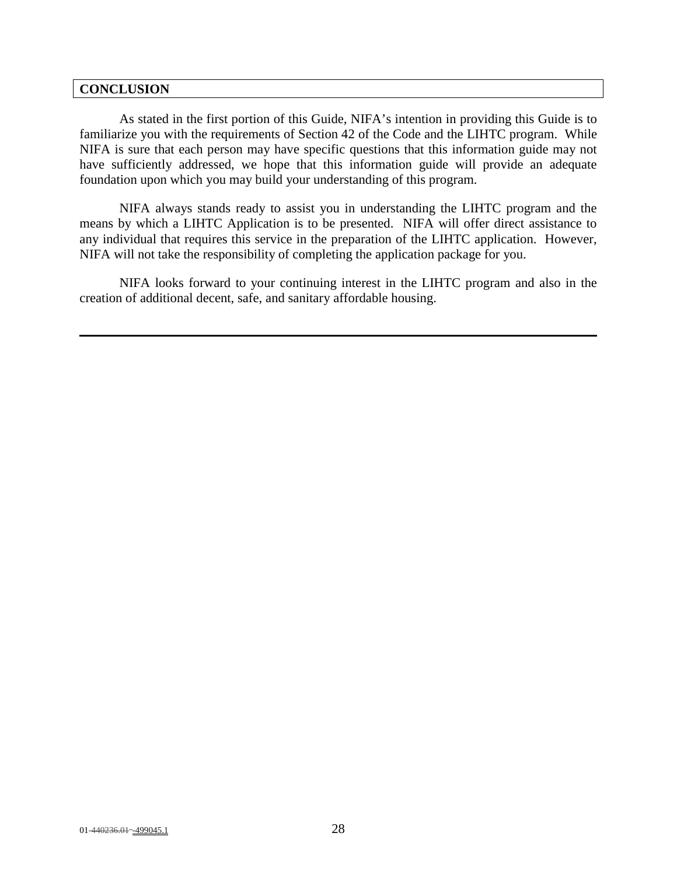#### **CONCLUSION**

As stated in the first portion of this Guide, NIFA's intention in providing this Guide is to familiarize you with the requirements of Section 42 of the Code and the LIHTC program. While NIFA is sure that each person may have specific questions that this information guide may not have sufficiently addressed, we hope that this information guide will provide an adequate foundation upon which you may build your understanding of this program.

NIFA always stands ready to assist you in understanding the LIHTC program and the means by which a LIHTC Application is to be presented. NIFA will offer direct assistance to any individual that requires this service in the preparation of the LIHTC application. However, NIFA will not take the responsibility of completing the application package for you.

NIFA looks forward to your continuing interest in the LIHTC program and also in the creation of additional decent, safe, and sanitary affordable housing.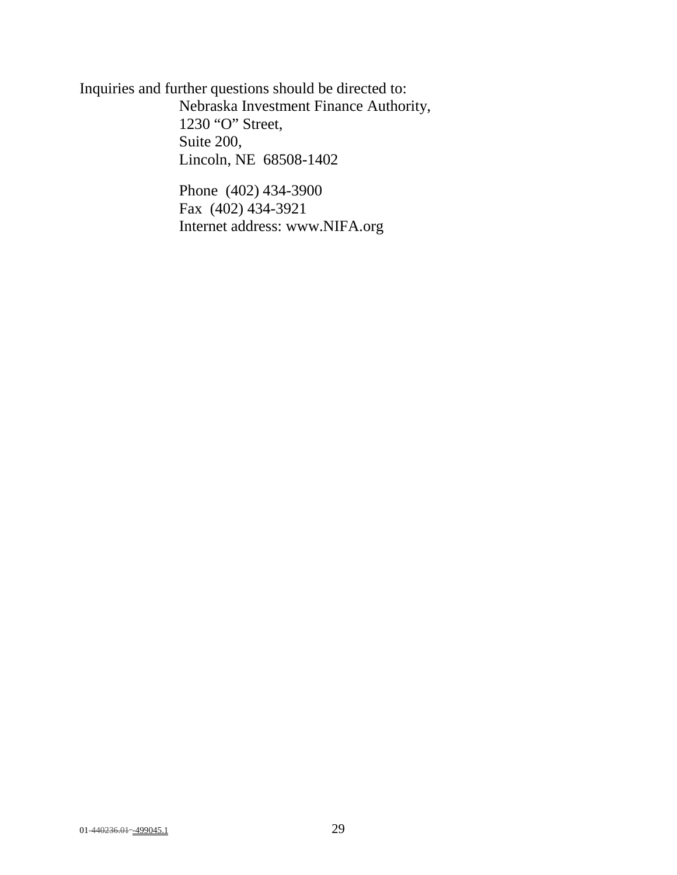Inquiries and further questions should be directed to: Nebraska Investment Finance Authority, 1230 "O" Street, Suite 200, Lincoln, NE 68508-1402

> Phone (402) 434-3900 Fax (402) 434-3921 Internet address: www.NIFA.org